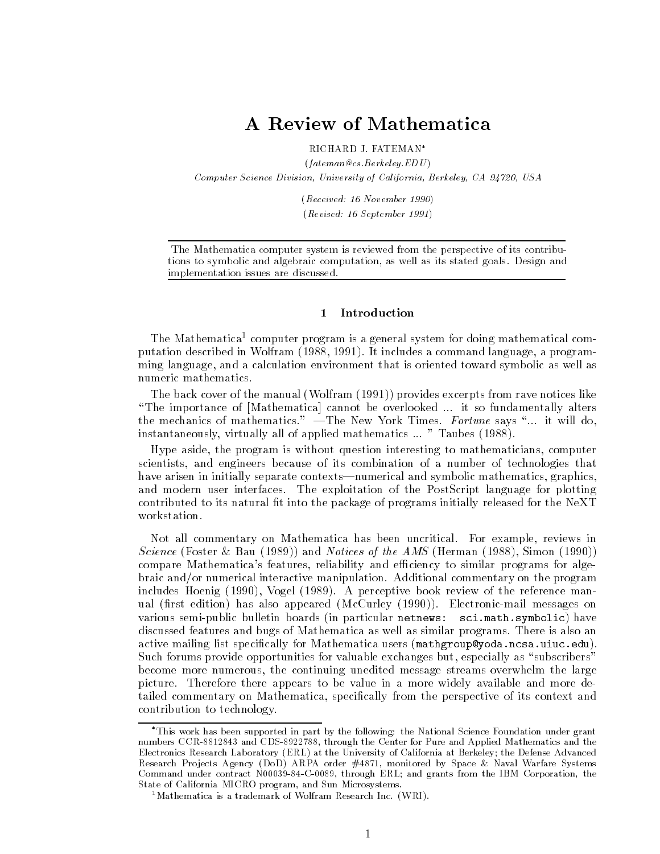# A Review of Mathematica

RICHARD J. FATEMAN

 $(fateman@cs. Berkeley. EDU)$ Computer Science Division, University of California, Berkeley, CA 94720, USA

> (Received: 16 November 1990) (Revised: 16 September 1991)

The Mathematica computer system is reviewed from the perspective of its contributions to symbolic and algebraic computation, as well as its stated goals. Design and implementation issues are discussed.

### 1 Introduction

The Mathematica<sup>1</sup> computer program is a general system for doing mathematical computation described in Wolfram (1988, 1991). It includes a command language, a programming language, and a calculation environment that is oriented toward symbolic as well as numeric mathematics.

The back cover of the manual (Wolfram (1991)) provides excerpts from rave notices like \The importance of [Mathematica] cannot be overlooked ... it so fundamentally alters the mechanics of mathematics."  $-$  The New York Times. Fortune says "... it will do, instantaneously, virtually all of applied mathematics ... " Taubes (1988).

Hype aside, the program is without question interesting to mathematicians, computer scientists, and engineers because of its combination of a number of technologies that have arisen in initially separate contexts—numerical and symbolic mathematics, graphics, and modern user interfaces. The exploitation of the PostScript language for plotting contributed to its natural fit into the package of programs initially released for the NeXT workstation.

Not all commentary on Mathematica has been uncritical. For example, reviews in Science (Foster & Bau (1989)) and *Notices of the AMS* (Herman (1988), Simon (1990)) compare Mathematica's features, reliability and efficiency to similar programs for algebraic and/or numerical interactive manipulation. Additional commentary on the program includes Hoenig (1990), Vogel (1989). A perceptive book review of the reference manual (first edition) has also appeared (McCurley  $(1990)$ ). Electronic-mail messages on various semi-public bulletin boards (in particular netnews: sci.math.symbolic) have discussed features and bugs of Mathematica as well as similar programs. There is also an active mailing list specically for Mathematica users (mathgroup@yoda.ncsa.uiuc.edu). Such forums provide opportunities for valuable exchanges but, especially as "subscribers" become more numerous, the continuing unedited message streams overwhelm the large picture. Therefore there appears to be value in a more widely available and more detailed commentary on Mathematica, specically from the perspective of its context and contribution to technology.

This work has been supported in part by the following: the National Science Foundation under grant numbers CCR-8812843 and CDS-8922788, through the Center for Pure and Applied Mathematics and the Electronics Research Laboratory (ERL) at the University of California at Berkeley; the Defense Advanced Research Projects Agency (DoD) ARPA order #4871, monitored by Space & Naval Warfare Systems Command under contract N00039-84-C-0089, through ERL; and grants from the IBM Corporation, the State of California MICRO program, and Sun Microsystems.

<sup>&</sup>lt;sup>1</sup>Mathematica is a trademark of Wolfram Research Inc. (WRI).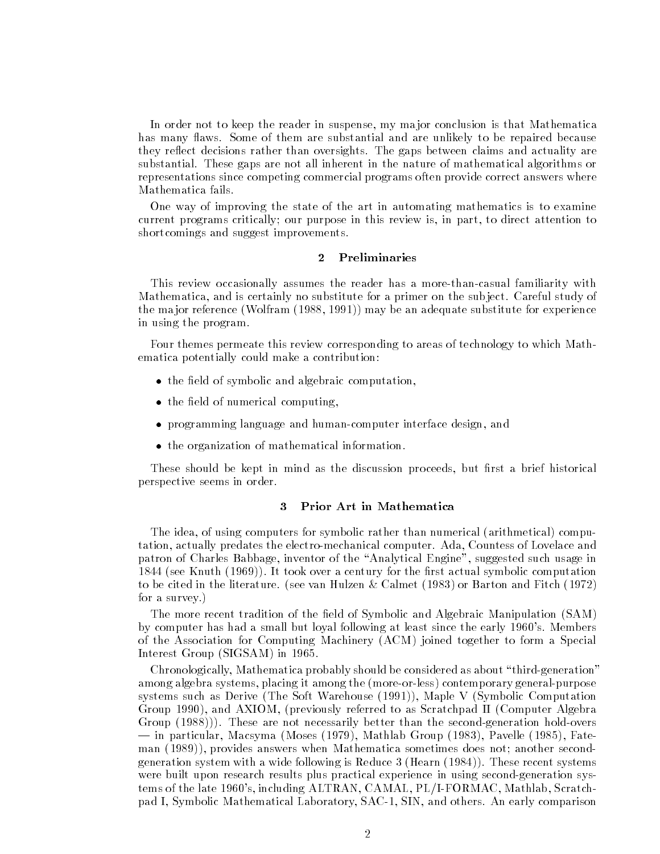In order not to keep the reader in suspense, my ma jor conclusion is that Mathematica has many flaws. Some of them are substantial and are unlikely to be repaired because they reflect decisions rather than oversights. The gaps between claims and actuality are substantial. These gaps are not all inherent in the nature of mathematical algorithms or representations since competing commercial programs often provide correct answers where Mathematica fails.

One way of improving the state of the art in automating mathematics is to examine current programs critically; our purpose in this review is, in part, to direct attention to shortcomings and suggest improvements.

#### $\mathbf{2}$ **Preliminaries**

This review occasionally assumes the reader has a more-than-casual familiarity with Mathematica, and is certainly no substitute for a primer on the sub ject. Careful study of the ma jor reference (Wolfram (1988, 1991)) may be an adequate substitute for experience in using the program.

Four themes permeate this review corresponding to areas of technology to which Mathematica potentially could make a contribution:

- $\bullet$  the field of symbolic and algebraic computation,  $\hspace{0.1mm}$
- $\bullet$  the field of numerical computing,  $\hspace{0.1mm}$
- programming language and human-computer interface design, and
- $\bullet$  the organization of mathematical information.

These should be kept in mind as the discussion proceeds, but first a brief historical perspective seems in order.

#### 3 Prior Art in Mathematica

The idea, of using computers for symbolic rather than numerical (arithmetical) computation, actually predates the electro-mechanical computer. Ada, Countess of Lovelace and patron of Charles Babbage, inventor of the \Analytical Engine", suggested such usage in 1844 (see Knuth (1969)). It took over a century for the first actual symbolic computation to be cited in the literature. (see van Hulzen & Calmet (1983) or Barton and Fitch (1972) for a survey.)

The more recent tradition of the field of Symbolic and Algebraic Manipulation (SAM) by computer has had a small but loyal following at least since the early 1960's. Members of the Association for Computing Machinery (ACM) joined together to form a Special Interest Group (SIGSAM) in 1965.

Chronologically, Mathematica probably should be considered as about \third-generation" among algebra systems, placing it among the (more-or-less) contemporary general-purpose systems such as Derive (The Soft Warehouse (1991)), Maple V (Symbolic Computation Group 1990), and AXIOM, (previously referred to as Scratchpad II (Computer Algebra Group (1988))). These are not necessarily better than the second-generation hold-overs | in particular, Macsyma (Moses (1979), Mathlab Group (1983), Pavelle (1985), Fateman (1989)), provides answers when Mathematica sometimes does not; another secondgeneration system with a wide following is Reduce 3 (Hearn (1984)). These recent systems were built upon research results plus practical experience in using second-generation systems of the late 1960's, including ALTRAN, CAMAL, PL/I-FORMAC, Mathlab, Scratchpad I, Symbolic Mathematical Laboratory, SAC-1, SIN, and others. An early comparison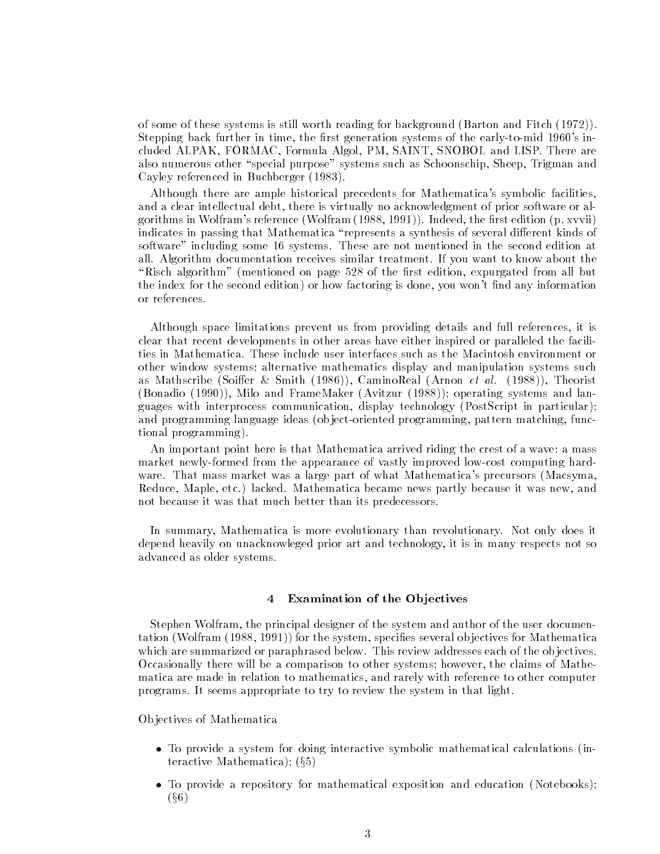of some of these systems is still worth reading for background (Barton and Fitch (1972)). Stepping back further in time, the first generation systems of the early-to-mid  $1960$ 's included ALPAK, FORMAC, Formula Algol, PM, SAINT, SNOBOL and LISP. There are also numerous other "special purpose" systems such as Schoonschip, Sheep, Trigman and Cayley referenced in Buchberger (1983).

Although there are ample historical precedents for Mathematica's symbolic facilities, and a clear intellectual debt, there is virtually no acknowledgment of prior software or algorithms in Wolfram's reference (Wolfram (1988, 1991)). Indeed, the first edition (p. xvvii) indicates in passing that Mathematica "represents a synthesis of several different kinds of software" including some 16 systems. These are not mentioned in the second edition at all. Algorithm documentation receives similar treatment. If you want to know about the "Risch algorithm" (mentioned on page 528 of the first edition, expurgated from all but the index for the second edition) or how factoring is done, you won't find any information or references.

Although space limitations prevent us from providing details and full references, it is clear that recent developments in other areas have either inspired or paralleled the facilities in Mathematica. These include user interfaces such as the Macintosh environment or other window systems; alternative mathematics display and manipulation systems such as Mathscribe (Soiffer & Smith (1986)), CaminoReal (Arnon *et al.* (1988)), Theorist (Bonadio (1990)), Milo and FrameMaker (Avitzur (1988)); operating systems and languages with interprocess communication, display technology (PostScript in particular); and programming language ideas (object-oriented programming, pattern matching, functional programming).

An important point here is that Mathematica arrived riding the crest of a wave: a mass market newly-formed from the appearance of vastly improved low-cost computing hardware. That mass market was a large part of what Mathematica's precursors (Macsyma, Reduce, Maple, etc.) lacked. Mathematica became news partly because it was new, and not because it was that much better than its predecessors.

In summary, Mathematica is more evolutionary than revolutionary. Not only does it depend heavily on unacknowleged prior art and technology, it is in many respects not so advanced as older systems.

#### 4 Examination of the Objectives

Stephen Wolfram, the principal designer of the system and author of the user documentation (Wolfram (1988, 1991)) for the system, species several ob jectives for Mathematica which are summarized or paraphrased below. This review addresses each of the objectives. Occasionally there will be a comparison to other systems; however, the claims of Mathematica are made in relation to mathematics, and rarely with reference to other computer programs. It seems appropriate to try to review the system in that light.

#### Ob jectives of Mathematica

- $\bullet$  10 provide a system for doing interactive symbolic mathematical calculations (interactive Mathematica);  $(\S5)$
- $\bullet$  To provide a repository for mathematical exposition and education (Notebooks);  $($ §6)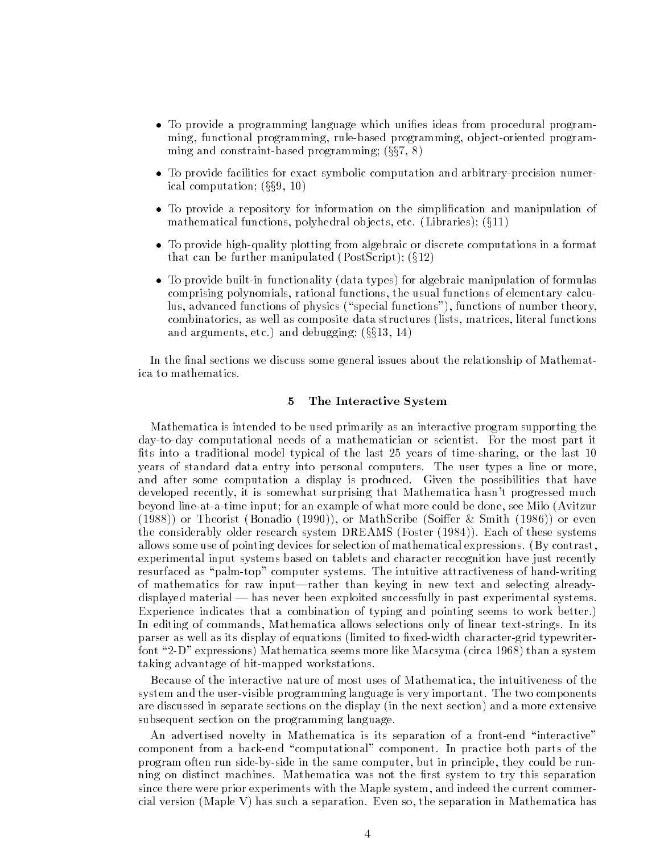- $\bullet$  10 provide a programming language which unifies ideas from procedural programming, functional programming, rule-based programming, ob ject-oriented programming and constraint-based programming;  $(\S\$ 7, 8)
- $\bullet$  10 provide facilities for exact symbolic computation and arbitrary-precision numerical computation;  $(\S_{\S9}, 10)$
- $\bullet$  To provide a repository for information on the simplification and manipulation of  $\bullet$ mathematical functions, polyhedral objects, etc. (Libraries);  $(\S11)$
- $\bullet$  -Lo provide high-quality plotting from algebraic or discrete computations in a format that can be further manipulated (PostScript);  $(\S12)$
- $\bullet$  To provide built-in functionality (data types) for algebraic manipulation of formulas comprising polynomials, rational functions, the usual functions of elementary calculus, advanced functions of physics ("special functions"), functions of number theory, combinatorics, as well as composite data structures (lists, matrices, literal functions and arguments, etc.) and debugging;  $(\S\S13, 14)$

In the final sections we discuss some general issues about the relationship of Mathematica to mathematics.

#### 5 The Interactive System

Mathematica is intended to be used primarily as an interactive program supporting the day-to-day computational needs of a mathematician or scientist. For the most part it fits into a traditional model typical of the last  $25$  years of time-sharing, or the last  $10$ years of standard data entry into personal computers. The user types a line or more, and after some computation a display is produced. Given the possibilities that have developed recently, it is somewhat surprising that Mathematica hasn't progressed much beyond line-at-a-time input; for an example of what more could be done, see Milo (Avitzur (1988)) or Theorist (Bonadio (1990)), or MathScribe (Soiffer & Smith (1986)) or even the considerably older research system DREAMS (Foster (1984)). Each of these systems allows some use of pointing devices for selection of mathematical expressions. (By contrast, experimental input systems based on tablets and character recognition have just recently resurfaced as "palm-top" computer systems. The intuitive attractiveness of hand-writing of mathematics for raw input—rather than keying in new text and selecting alreadydisplayed material - has never been exploited successfully in past experimental systems. Experience indicates that a combination of typing and pointing seems to work better.) In editing of commands, Mathematica allows selections only of linear text-strings. In its parser as well as its display of equations (limited to fixed-width character-grid typewriterfont \2-D" expressions) Mathematica seems more like Macsyma (circa 1968) than a system taking advantage of bit-mapped workstations.

Because of the interactive nature of most uses of Mathematica, the intuitiveness of the system and the user-visible programming language is very important. The two components are discussed in separate sections on the display (in the next section) and a more extensive subsequent section on the programming language.

An advertised novelty in Mathematica is its separation of a front-end "interactive" component from a back-end "computational" component. In practice both parts of the program often run side-by-side in the same computer, but in principle, they could be running on distinct machines. Mathematica was not the first system to try this separation since there were prior experiments with the Maple system, and indeed the current commercial version (Maple V) has such a separation. Even so, the separation in Mathematica has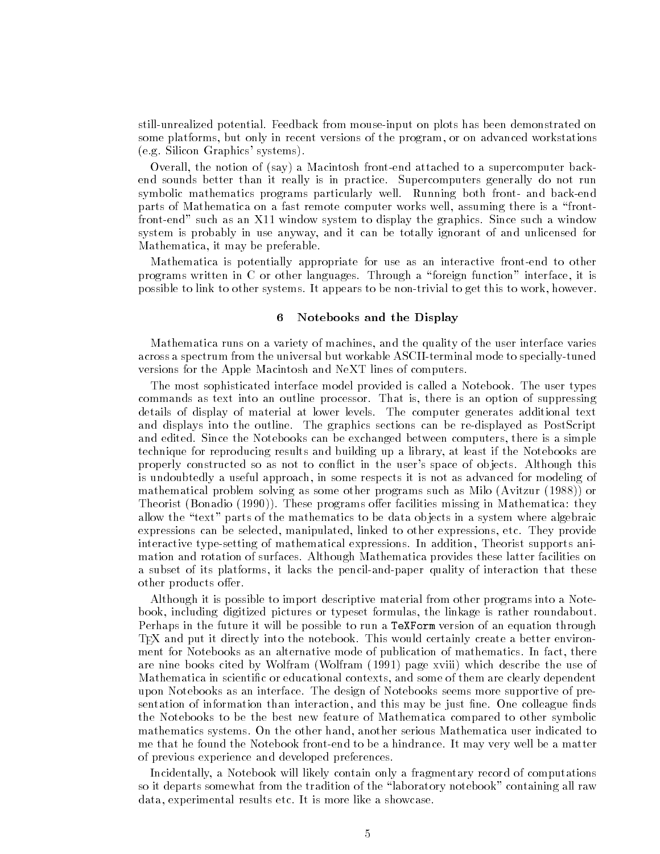still-unrealized potential. Feedback from mouse-input on plots has been demonstrated on some platforms, but only in recent versions of the program, or on advanced workstations (e.g. Silicon Graphics' systems).

Overall, the notion of (say) a Macintosh front-end attached to a supercomputer backend sounds better than it really is in practice. Supercomputers generally do not run symbolic mathematics programs particularly well. Running both front- and back-end parts of Mathematica on a fast remote computer works well, assuming there is a \frontfront-end" such as an X11 window system to display the graphics. Since such a window system is probably in use anyway, and it can be totally ignorant of and unlicensed for Mathematica, it may be preferable.

Mathematica is potentially appropriate for use as an interactive front-end to other programs written in C or other languages. Through a \foreign function" interface, it is possible to link to other systems. It appears to be non-trivial to get this to work, however.

#### 6 Notebooks and the Display

Mathematica runs on a variety of machines, and the quality of the user interface varies across a spectrum from the universal but workable ASCII-terminal mode to specially-tuned versions for the Apple Macintosh and NeXT lines of computers.

The most sophisticated interface model provided is called a Notebook. The user types commands as text into an outline processor. That is, there is an option of suppressing details of display of material at lower levels. The computer generates additional text and displays into the outline. The graphics sections can be re-displayed as PostScript and edited. Since the Notebooks can be exchanged between computers, there is a simple technique for reproducing results and building up a library, at least if the Notebooks are properly constructed so as not to conflict in the user's space of objects. Although this is undoubtedly a useful approach, in some respects it is not as advanced for modeling of mathematical problem solving as some other programs such as Milo (Avitzur (1988)) or Theorist (Bonadio (1990)). These programs offer facilities missing in Mathematica: they allow the "text" parts of the mathematics to be data objects in a system where algebraic expressions can be selected, manipulated, linked to other expressions, etc. They provide interactive type-setting of mathematical expressions. In addition, Theorist supports animation and rotation of surfaces. Although Mathematica provides these latter facilities on a subset of its platforms, it lacks the pencil-and-paper quality of interaction that these other products offer.

Although it is possible to import descriptive material from other programs into a Notebook, including digitized pictures or typeset formulas, the linkage is rather roundabout. Perhaps in the future it will be possible to run a TeXForm version of an equation through TEX and put it directly into the notebook. This would certainly create a better environment for Notebooks as an alternative mode of publication of mathematics. In fact, there are nine books cited by Wolfram (Wolfram (1991) page xviii) which describe the use of Mathematica in scientic or educational contexts, and some of them are clearly dependent upon Notebooks as an interface. The design of Notebooks seems more supportive of presentation of information than interaction, and this may be just fine. One colleague finds the Notebooks to be the best new feature of Mathematica compared to other symbolic mathematics systems. On the other hand, another serious Mathematica user indicated to me that he found the Notebook front-end to be a hindrance. It may very well be a matter of previous experience and developed preferences.

Incidentally, a Notebook will likely contain only a fragmentary record of computations so it departs somewhat from the tradition of the \laboratory notebook" containing all raw data, experimental results etc. It is more like a showcase.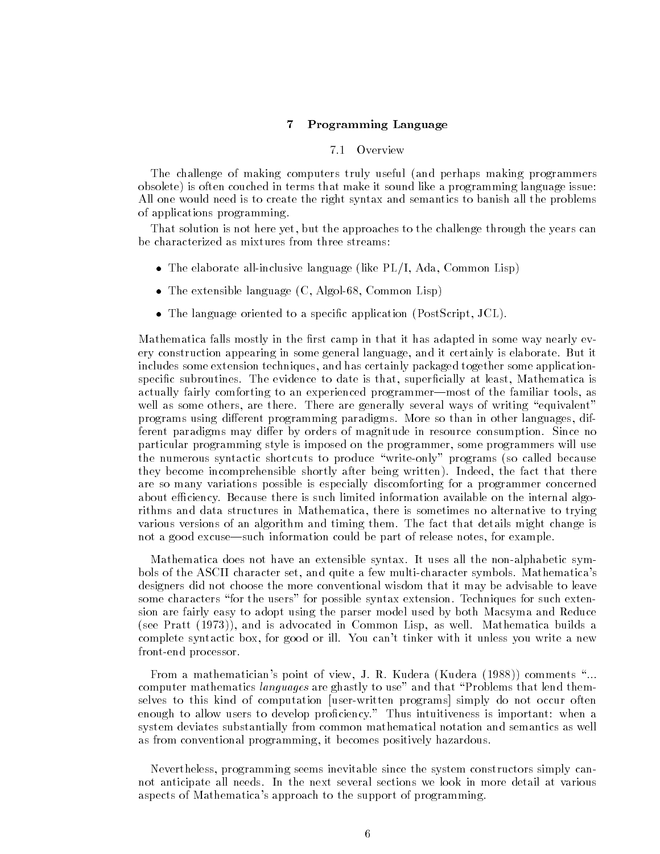### 7 Programming Language

#### 7.1 Overview

The challenge of making computers truly useful (and perhaps making programmers obsolete) is often couched in terms that make it sound like a programming language issue: All one would need is to create the right syntax and semantics to banish all the problems of applications programming.

That solution is not here yet, but the approaches to the challenge through the years can be characterized as mixtures from three streams:

- $\bullet$  The elaborate all-inclusive language (like PL/I, Ada, Common Lisp)
- $\bullet$  The extensible language (C, Algol-68, Common Lisp)  $\hspace{0.1mm}$
- $\bullet$  -fine language oriented to a specific application (PostScript, JCL).

Mathematica falls mostly in the first camp in that it has adapted in some way nearly every construction appearing in some general language, and it certainly is elaborate. But it includes some extension techniques, and has certainly packaged together some applicationspecific subroutines. The evidence to date is that, superficially at least, Mathematica is actually fairly comforting to an experienced programmer—most of the familiar tools, as well as some others, are there. There are generally several ways of writing "equivalent" programs using different programming paradigms. More so than in other languages, different paradigms may differ by orders of magnitude in resource consumption. Since no particular programming style is imposed on the programmer, some programmers will use the numerous syntactic shortcuts to produce \write-only" programs (so called because they become incomprehensible shortly after being written). Indeed, the fact that there are so many variations possible is especially discomforting for a programmer concerned about efficiency. Because there is such limited information available on the internal algorithms and data structures in Mathematica, there is sometimes no alternative to trying various versions of an algorithm and timing them. The fact that details might change is not a good excuse—such information could be part of release notes, for example.

Mathematica does not have an extensible syntax. It uses all the non-alphabetic symbols of the ASCII character set, and quite a few multi-character symbols. Mathematica's designers did not choose the more conventional wisdom that it may be advisable to leave some characters "for the users" for possible syntax extension. Techniques for such extension are fairly easy to adopt using the parser model used by both Macsyma and Reduce (see Pratt (1973)), and is advocated in Common Lisp, as well. Mathematica builds a complete syntactic box, for good or ill. You can't tinker with it unless you write a new front-end processor.

From a mathematician's point of view, J. R. Kudera (Kudera (1988)) comments "... computer mathematics *languages* are ghastly to use" and that "Problems that lend themselves to this kind of computation [user-written programs] simply do not occur often enough to allow users to develop proficiency." Thus intuitiveness is important: when a system deviates substantially from common mathematical notation and semantics as well as from conventional programming, it becomes positively hazardous.

Nevertheless, programming seems inevitable since the system constructors simply cannot anticipate all needs. In the next several sections we look in more detail at various aspects of Mathematica's approach to the support of programming.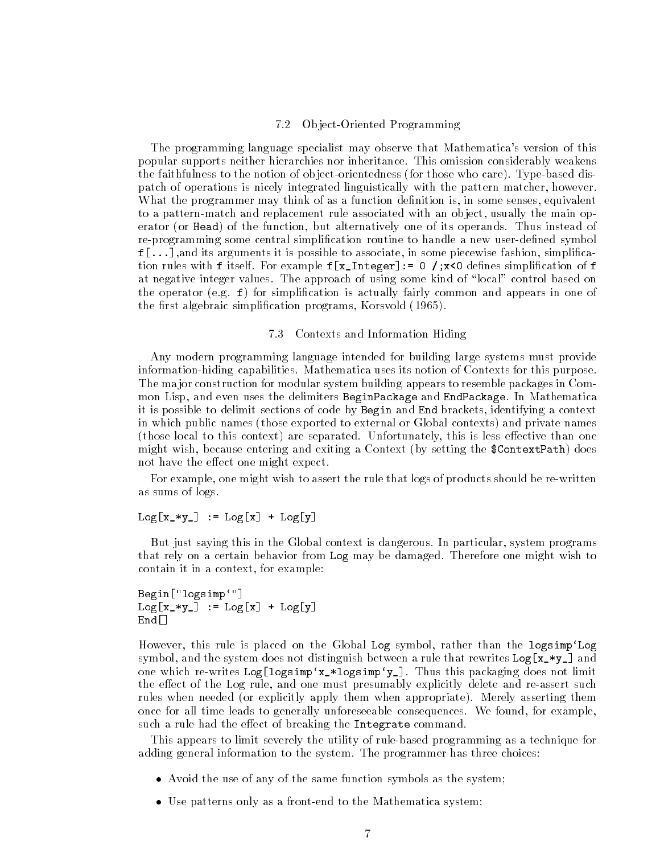#### 7.2 Ob ject-Oriented Programming

The programming language specialist may observe that Mathematica's version of this popular supports neither hierarchies nor inheritance. This omission considerably weakens the faithfulness to the notion of ob ject-orientedness (for those who care). Type-based dispatch of operations is nicely integrated linguistically with the pattern matcher, however. What the programmer may think of as a function definition is, in some senses, equivalent to a pattern-match and replacement rule associated with an ob ject, usually the main operator (or Head) of the function, but alternatively one of its operands. Thus instead of re-programming some central simplification routine to handle a new user-defined symbol f[...],and its arguments it is possible to associate, in some piecewise fashion, simplication rules with f itself. For example  $f[x_Integer] := 0$  /; x<0 defines simplification of f at negative integer values. The approach of using some kind of "local" control based on the operator (e.g.  $f$ ) for simplification is actually fairly common and appears in one of the first algebraic simplification programs, Korsvold (1965).

#### 7.3 Contexts and Information Hiding

Any modern programming language intended for building large systems must provide information-hiding capabilities. Mathematica uses its notion of Contexts for this purpose. The ma jor construction for modular system building appears to resemble packages in Common Lisp, and even uses the delimiters BeginPackage and EndPackage. In Mathematica it is possible to delimit sections of code by Begin and End brackets, identifying a context in which public names (those exported to external or Global contexts) and private names (those local to this context) are separated. Unfortunately, this is less effective than one might wish, because entering and exiting a Context (by setting the \$ContextPath) does not have the effect one might expect.

For example, one might wish to assert the rule that logs of products should be re-written as sums of logs.

# $Log[x_*y_+] := Log[x] + Log[y]$

But just saying this in the Global context is dangerous. In particular, system programs that rely on a certain behavior from Log may be damaged. Therefore one might wish to contain it in a context, for example:

# Begin["logsimp`"]  $Log[x_*y_]=:Log[x] + Log[y]$ End[]

However, this rule is placed on the Global Log symbol, rather than the logsimp'Log symbol, and the system does not distinguish between a rule that rewrites  $Log[x_*y_+]$  and one which re-writes Log[logsimp'x\_\*logsimp'y\_]. Thus this packaging does not limit the effect of the Log rule, and one must presumably explicitly delete and re-assert such rules when needed (or explicitly apply them when appropriate). Merely asserting them once for all time leads to generally unforeseeable consequences. We found, for example, such a rule had the effect of breaking the Integrate command.

This appears to limit severely the utility of rule-based programming as a technique for adding general information to the system. The programmer has three choices:

- Avoid the use of any of the same function symbols as the system;
- Use patterns only as a front-end to the Mathematica system;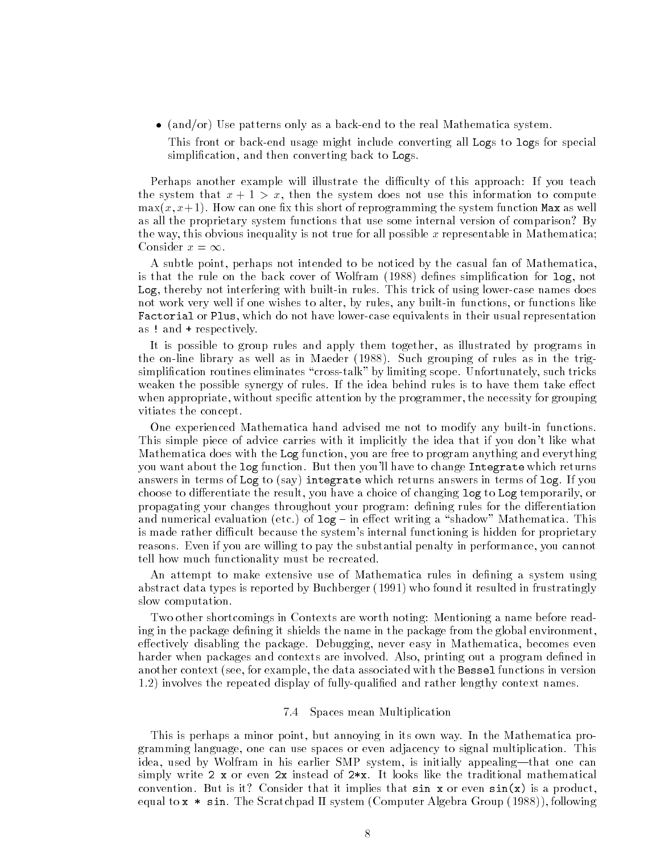$\bullet$  (and/or) Use patterns only as a back-end to the real Mathematica system.

This front or back-end usage might include converting all Logs to logs for special simplication, and then converting back to Logs.

Perhaps another example will illustrate the difficulty of this approach: If you teach the system that  $x + 1 > x$ , then the system does not use this information to compute  $max(x, x+1)$ . How can one fix this short of reprogramming the system function Max as well as all the proprietary system functions that use some internal version of comparison? By the way, this obvious inequality is not true for all possible x representable in Mathematica; Consider  $x = \infty$ .<br>A subtle point, perhaps not intended to be noticed by the casual fan of Mathematica,

is that the rule on the back cover of Wolfram (1988) defines simplification for log, not Log, thereby not interfering with built-in rules. This trick of using lower-case names does not work very well if one wishes to alter, by rules, any built-in functions, or functions like Factorial or Plus, which do not have lower-case equivalents in their usual representation as ! and + respectively.

It is possible to group rules and apply them together, as illustrated by programs in the on-line library as well as in Maeder (1988). Such grouping of rules as in the trigsimplification routines eliminates "cross-talk" by limiting scope. Unfortunately, such tricks weaken the possible synergy of rules. If the idea behind rules is to have them take effect when appropriate, without specific attention by the programmer, the necessity for grouping vitiates the concept.

One experienced Mathematica hand advised me not to modify any built-in functions. This simple piece of advice carries with it implicitly the idea that if you don't like what Mathematica does with the Log function, you are free to program anything and everything you want about the log function. But then you'll have to change Integrate which returns answers in terms of Log to (say) integrate which returns answers in terms of log. If you choose to differentiate the result, you have a choice of changing log to Log temporarily, or propagating your changes throughout your program: defining rules for the differentiation and numerical evaluation (etc.) of  $log - in$  effect writing a "shadow" Mathematica. This is made rather difficult because the system's internal functioning is hidden for proprietary reasons. Even if you are willing to pay the substantial penalty in performance, you cannot tell how much functionality must be recreated.

An attempt to make extensive use of Mathematica rules in defining a system using abstract data types is reported by Buchberger (1991) who found it resulted in frustratingly slow computation.

Two other shortcomings in Contexts are worth noting: Mentioning a name before reading in the package defining it shields the name in the package from the global environment. effectively disabling the package. Debugging, never easy in Mathematica, becomes even harder when packages and contexts are involved. Also, printing out a program defined in another context (see, for example, the data associated with the Bessel functions in version 1.2) involves the repeated display of fully-qualied and rather lengthy context names.

#### 7.4 Spaces mean Multiplication

This is perhaps a minor point, but annoying in its own way. In the Mathematica programming language, one can use spaces or even adjacency to signal multiplication. This idea, used by Wolfram in his earlier SMP system, is initially appealing—that one can simply write 2 x or even 2x instead of 2\*x. It looks like the traditional mathematical convention. But is it? Consider that it implies that  $\sin x$  or even  $\sin(x)$  is a product. equal to x \* sin. The Scratchpad II system (Computer Algebra Group (1988)), following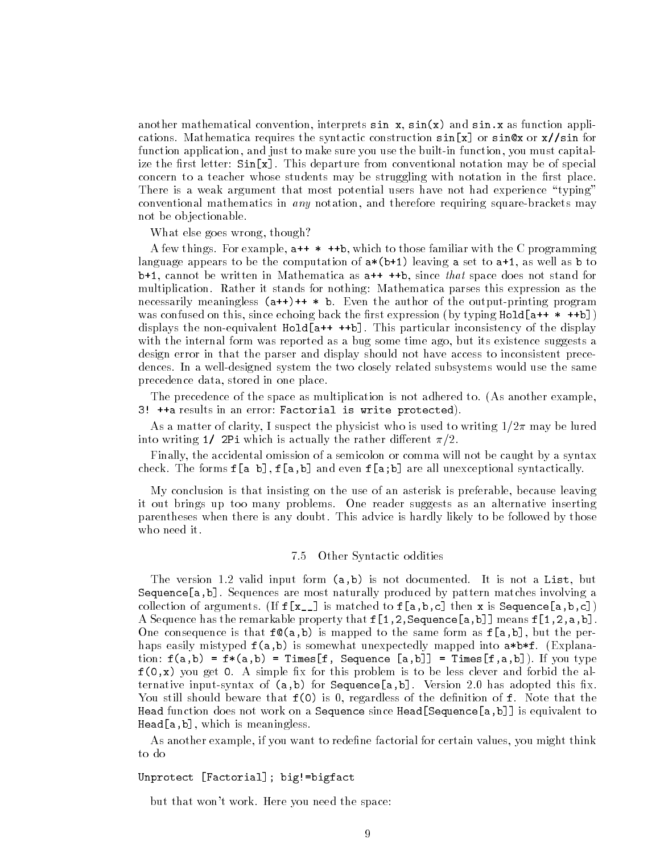another mathematical convention, interprets  $\sin x$ ,  $\sin(x)$  and  $\sin x$  as function applications. Mathematica requires the syntactic construction  $sin[x]$  or  $sin@x$  or  $x//sin$  for function application, and just to make sure you use the built-in function, you must capitalize the first letter:  $\sin[x]$ . This departure from conventional notation may be of special concern to a teacher whose students may be struggling with notation in the first place. There is a weak argument that most potential users have not had experience "typing" conventional mathematics in *any* notation, and therefore requiring square-brackets may not be ob jectionable.

What else goes wrong, though?

A few things. For example, a++ \* ++b, which to those familiar with the C programming language appears to be the computation of  $a*(b+1)$  leaving a set to  $a+1$ , as well as b to b+1, cannot be written in Mathematica as a++ ++b, since that space does not stand for multiplication. Rather it stands for nothing: Mathematica parses this expression as the necessarily meaningless  $(a++)++$   $\ast$  b. Even the author of the output-printing program was confused on this, since echoing back the first expression (by typing  $Hold[a++$   $*$  ++b]) displays the non-equivalent Hold[a++ ++b]. This particular inconsistency of the display with the internal form was reported as a bug some time ago, but its existence suggests a design error in that the parser and display should not have access to inconsistent precedences. In a well-designed system the two closely related subsystems would use the same precedence data, stored in one place.

The precedence of the space as multiplication is not adhered to. (As another example, 3! ++a results in an error: Factorial is write protected).

As a matter of clarity, I suspect the physicist who is used to writing  $1/2\pi$  may be lured into writing 1/ 2Pi which is actually the rather different  $\pi/2$ .

Finally, the accidental omission of a semicolon or comma will not be caught by a syntax check. The forms f[a b], f[a,b] and even f[a;b] are all unexceptional syntactically.

My conclusion is that insisting on the use of an asterisk is preferable, because leaving it out brings up too many problems. One reader suggests as an alternative inserting parentheses when there is any doubt. This advice is hardly likely to be followed by those who need it.

#### 7.5 Other Syntactic oddities

The version 1.2 valid input form (a,b) is not documented. It is not a List, but Sequence[a,b]. Sequences are most naturally produced by pattern matches involving a collection of arguments. (If  $f[x_+]$  is matched to  $f[a,b,c]$  then x is Sequence[a,b,c]) A Sequence has the remarkable property that  $f[1,2,Sequence[a,b]]$  means  $f[1,2,a,b]$ . One consequence is that  $f(\mathbf{a},\mathbf{b})$  is mapped to the same form as  $f[\mathbf{a},\mathbf{b}]$ , but the perhaps easily mistyped  $f(a,b)$  is somewhat unexpectedly mapped into  $a*b*f.$  (Explanation:  $f(a,b) = f*(a,b) = Times[f, Sequence[a,b]] = Times[f,a,b])$ . If you type  $f(0,x)$  you get 0. A simple fix for this problem is to be less clever and forbid the alternative input-syntax of  $(a,b)$  for Sequence  $[a,b]$ . Version 2.0 has adopted this fix. You still should beware that  $f(0)$  is 0, regardless of the definition of  $f$ . Note that the Head function does not work on a Sequence since Head[Sequence[a,b]] is equivalent to Head[a,b], which is meaningless.

As another example, if you want to redefine factorial for certain values, you might think to do

## Unprotect [Factorial]; big!=bigfact

but that won't work. Here you need the space: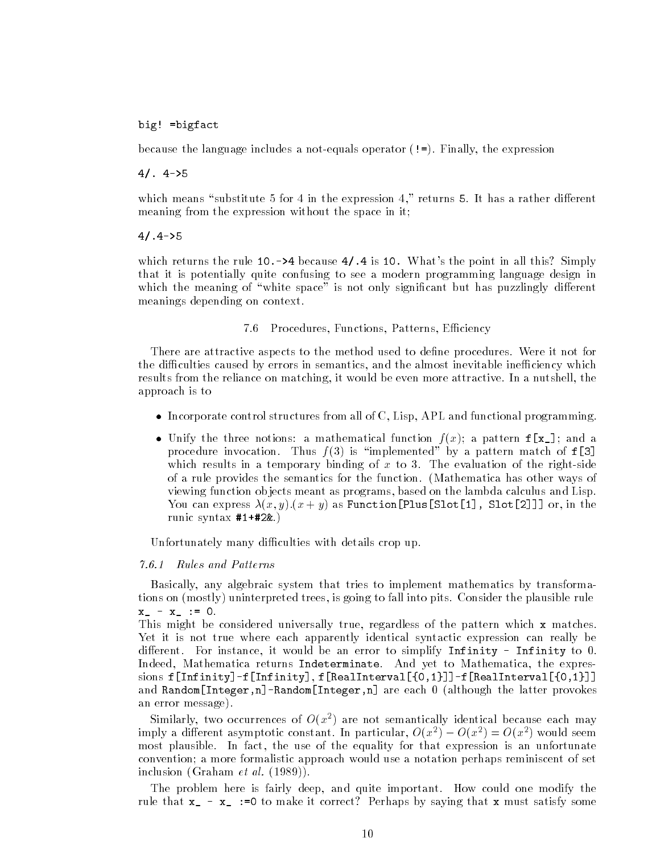#### big! =bigfact

because the language includes a not-equals operator (!=). Finally, the expression

 $4/$ .  $4->5$ 

which means "substitute 5 for 4 in the expression 4," returns 5. It has a rather different meaning from the expression without the space in it;

#### 4/.4->5

which returns the rule  $10.-\geq 4$  because  $4/4$  is 10. What's the point in all this? Simply that it is potentially quite confusing to see a modern programming language design in which the meaning of "white space" is not only significant but has puzzlingly different meanings depending on context.

# 7.6 Procedures, Functions, Patterns, Efficiency

There are attractive aspects to the method used to define procedures. Were it not for the difficulties caused by errors in semantics, and the almost inevitable inefficiency which results from the reliance on matching, it would be even more attractive. In a nutshell, the approach is to

- $\bullet$  Incorporate control structures from all of U, Lisp, APL and functional programming.
- $\bullet$  Unify the three notions: a mathematical function  $f(x)$ ; a pattern  $\mathtt{I} \mathtt{[x\_]}$ ; and a procedure invocation. Thus  $f(3)$  is "implemented" by a pattern match of  $f[3]$ which results in a temporary binding of  $x$  to 3. The evaluation of the right-side of a rule provides the semantics for the function. (Mathematica has other ways of viewing function ob jects meant as programs, based on the lambda calculus and Lisp. You can express  $\lambda(x, y)$ . $(x + y)$  as Function [Plus [Slot [1], Slot [2]]] or, in the runic syntax #1+#2&.)

Unfortunately many difficulties with details crop up.

#### 7.6.1 Rules and Patterns

Basically, any algebraic system that tries to implement mathematics by transformations on (mostly) uninterpreted trees, is going to fall into pits. Consider the plausible rule  $x_{-} - x_{-} := 0.$ 

This might be considered universally true, regardless of the pattern which x matches. Yet it is not true where each apparently identical syntactic expression can really be different. For instance, it would be an error to simplify Infinity - Infinity to 0. Indeed, Mathematica returns Indeterminate. And yet to Mathematica, the expressions f[Infinity]-f[Infinity], f[RealInterval[{0,1}]]-f[RealInterval[{0,1}]] and Random[Integer,n]-Random[Integer,n] are each 0 (although the latter provokes an error message).

 $\mathrm{S}\mathrm{mini}$ arly, two occurrences of  $O(x^+)$  are not semantically identical because each may imply a different asymptotic constant. In particular,  $O(x^-) = O(x^-) = O(x^+)$  would seem most plausible. In fact, the use of the equality for that expression is an unfortunate convention; a more formalistic approach would use a notation perhaps reminiscent of set inclusion (Graham et al. (1989)).

The problem here is fairly deep, and quite important. How could one modify the rule that  $x_ - - x_ - :=0$  to make it correct? Perhaps by saying that x must satisfy some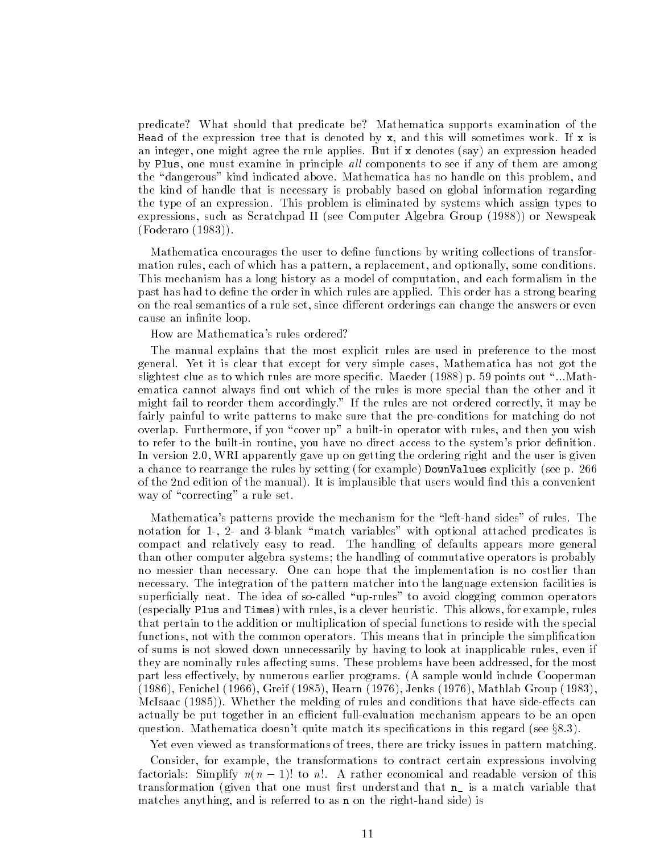predicate? What should that predicate be? Mathematica supports examination of the Head of the expression tree that is denoted by  $x$ , and this will sometimes work. If  $x$  is an integer, one might agree the rule applies. But if x denotes (say) an expression headed by Plus, one must examine in principle *all* components to see if any of them are among the "dangerous" kind indicated above. Mathematica has no handle on this problem, and the kind of handle that is necessary is probably based on global information regarding the type of an expression. This problem is eliminated by systems which assign types to expressions, such as Scratchpad II (see Computer Algebra Group (1988)) or Newspeak (Foderaro (1983)).

Mathematica encourages the user to define functions by writing collections of transformation rules, each of which has a pattern, a replacement, and optionally, some conditions. This mechanism has a long history as a model of computation, and each formalism in the past has had to dene the order in which rules are applied. This order has a strong bearing on the real semantics of a rule set, since different orderings can change the answers or even cause an infinite loop.

#### How are Mathematica's rules ordered?

The manual explains that the most explicit rules are used in preference to the most general. Yet it is clear that except for very simple cases, Mathematica has not got the slightest clue as to which rules are more specific. Maeder  $(1988)$  p. 59 points out "...Mathematica cannot always find out which of the rules is more special than the other and it might fail to reorder them accordingly." If the rules are not ordered correctly, it may be fairly painful to write patterns to make sure that the pre-conditions for matching do not overlap. Furthermore, if you "cover up" a built-in operator with rules, and then you wish to refer to the built-in routine, you have no direct access to the system's prior definition. In version 2.0, WRI apparently gave up on getting the ordering right and the user is given a chance to rearrange the rules by setting (for example) DownValues explicitly (see p. 266 of the 2nd edition of the manual). It is implausible that users would find this a convenient way of "correcting" a rule set.

Mathematica's patterns provide the mechanism for the \left-hand sides" of rules. The notation for 1-, 2- and 3-blank "match variables" with optional attached predicates is compact and relatively easy to read. The handling of defaults appears more general than other computer algebra systems; the handling of commutative operators is probably no messier than necessary. One can hope that the implementation is no costlier than necessary. The integration of the pattern matcher into the language extension facilities is superficially neat. The idea of so-called "up-rules" to avoid clogging common operators (especially Plus and Times) with rules, is a clever heuristic. This allows, for example, rules that pertain to the addition or multiplication of special functions to reside with the special functions, not with the common operators. This means that in principle the simplification of sums is not slowed down unnecessarily by having to look at inapplicable rules, even if they are nominally rules affecting sums. These problems have been addressed, for the most part less effectively, by numerous earlier programs. (A sample would include Cooperman (1986), Fenichel (1966), Greif (1985), Hearn (1976), Jenks (1976), Mathlab Group (1983), McIsaac (1985)). Whether the melding of rules and conditions that have side-effects can actually be put together in an efficient full-evaluation mechanism appears to be an open question. Mathematica doesn't quite match its specifications in this regard (see  $\S 8.3$ ).

Yet even viewed as transformations of trees, there are tricky issues in pattern matching.

Consider, for example, the transformations to contract certain expressions involving factorials: Simplify  $n(n-1)!$  to n!. A rather economical and readable version of this transformation (given that one must first understand that  $n_{-}$  is a match variable that matches anything, and is referred to as n on the right-hand side) is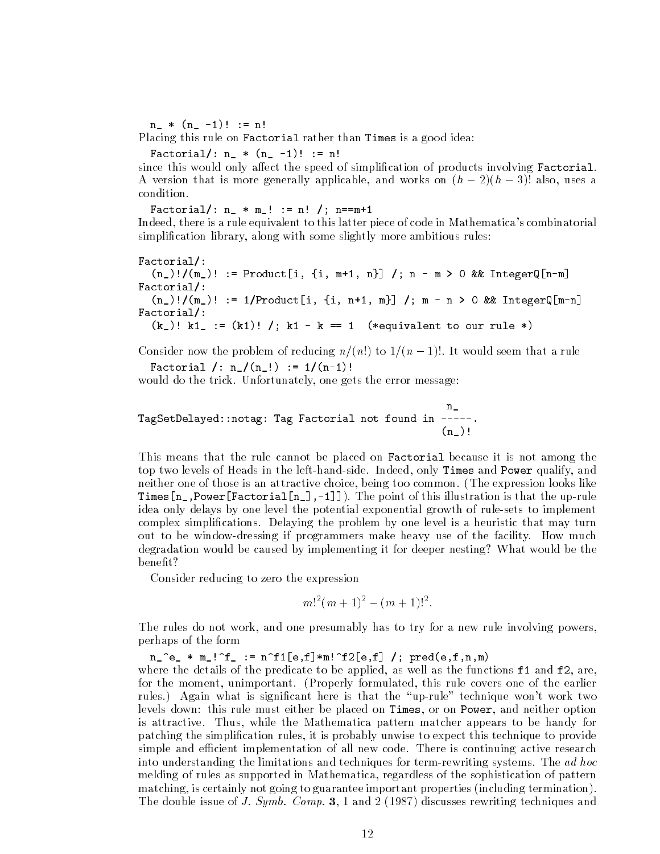$n_{-} * (n_{-} -1)! := n!$ 

Placing this rule on Factorial rather than Times is a good idea:

Factorial/:  $n_{-}$  \*  $(n_{-} -1)!$  := n!

since this would only affect the speed of simplification of products involving Factorial. A version that is more generally applicable, and works on  $(h - 2)(h - 3)!$  also, uses a condition.

Factorial/:  $n_{-}$  \*  $m_{-}$ ! :=  $n!$  /;  $n == m + 1$ 

Indeed, there is a rule equivalent to this latter piece of code in Mathematica's combinatorial simplication library, along with some slightly more ambitious rules:

```
Factorial/:
```
 $(n_-)!/(m_-)!$  := Product[i, {i, m+1, n}] /; n - m > 0 && IntegerQ[n-m] Factorial/:  $(n_{-})!/(m_{-})!$  := 1/Product[i, {i, n+1, m}] /; m - n > 0 && IntegerQ[m-n]

Factorial/:

 $(k_+)$ ! k1\_ :=  $(k1)$ ! /; k1 - k == 1 (\*equivalent to our rule \*)

Consider now the problem of reducing  $n/(n!)$  to  $1/(n - 1)!$ . It would seem that a rule Factorial /:  $n_{-}/(n_{-}!)$  := 1/(n-1)!

would do the trick. Unfortunately, one gets the error message:

```
na ang pangalang ang pangalang ang pangangang ang pangangang ang pangangang ang pangangang ang pangangang ang 
TagSetDelayed::notag: Tag Factorial not found in -----.
                                                                                                                                  (n_+)!
```
This means that the rule cannot be placed on Factorial because it is not among the top two levels of Heads in the left-hand-side. Indeed, only Times and Power qualify, and neither one of those is an attractive choice, being too common. (The expression looks like Times[n\_,Power[Factorial[n\_],-1]]). The point of this illustration is that the up-rule idea only delays by one level the potential exponential growth of rule-sets to implement complex simplications. Delaying the problem by one level is a heuristic that may turn out to be window-dressing if programmers make heavy use of the facility. How much degradation would be caused by implementing it for deeper nesting? What would be the benefit?

Consider reducing to zero the expression

$$
m!^2(m+1)^2 - (m+1)!^2.
$$

The rules do not work, and one presumably has to try for a new rule involving powers, perhaps of the form

 $n_{\text{max}} \cdot e_{\text{max}}$  \* m\_! $f_{\text{max}} \cdot f_{\text{max}} \cdot f_{\text{max}} \cdot f_{\text{max}} \cdot f_{\text{max}} \cdot f_{\text{max}} \cdot f_{\text{max}} \cdot f_{\text{max}} \cdot f_{\text{max}} \cdot f_{\text{max}} \cdot f_{\text{max}} \cdot f_{\text{max}} \cdot f_{\text{max}} \cdot f_{\text{max}} \cdot f_{\text{max}} \cdot f_{\text{max}} \cdot f_{\text{max}} \cdot f_{\text{max}} \cdot f_{\text{max}} \cdot f_{\text{max}} \cdot f_{\text{max}} \cdot f_{\text{max}}$ 

where the details of the predicate to be applied, as well as the functions  $f1$  and  $f2$ , are, for the moment, unimportant. (Properly formulated, this rule covers one of the earlier rules.) Again what is significant here is that the "up-rule" technique won't work two levels down: this rule must either be placed on Times, or on Power, and neither option is attractive. Thus, while the Mathematica pattern matcher appears to be handy for patching the simplication rules, it is probably unwise to expect this technique to provide simple and efficient implementation of all new code. There is continuing active research into understanding the limitations and techniques for term-rewriting systems. The ad hoc melding of rules as supported in Mathematica, regardless of the sophistication of pattern matching, is certainly not going to guarantee important properties (including termination). The double issue of J. Symb. Comp. 3, 1 and 2 (1987) discusses rewriting techniques and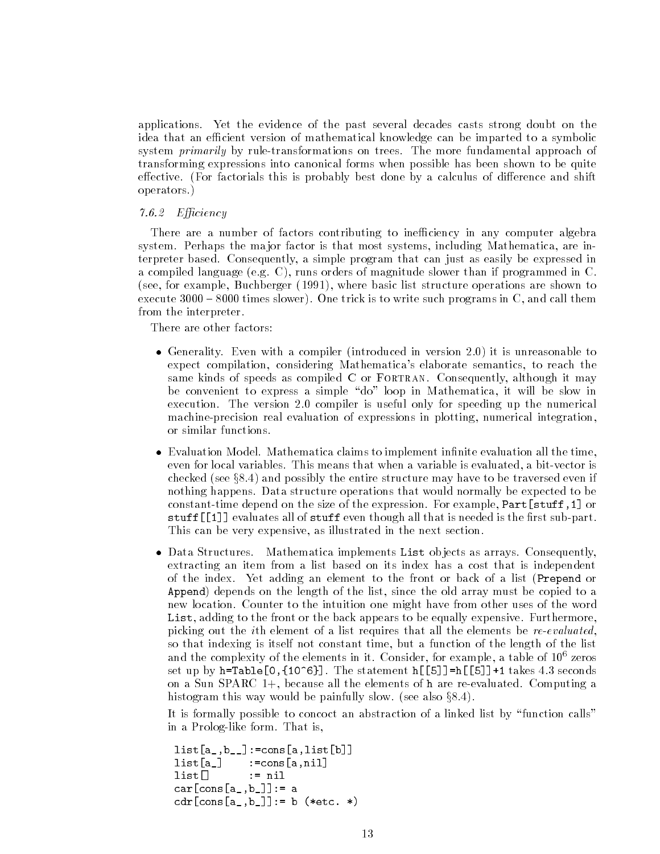applications. Yet the evidence of the past several decades casts strong doubt on the idea that an efficient version of mathematical knowledge can be imparted to a symbolic system *primarily* by rule-transformations on trees. The more fundamental approach of transforming expressions into canonical forms when possible has been shown to be quite effective. (For factorials this is probably best done by a calculus of difference and shift operators.)

### 7.6.2 Efficiency

There are a number of factors contributing to inefficiency in any computer algebra system. Perhaps the ma jor factor is that most systems, including Mathematica, are interpreter based. Consequently, a simple program that can just as easily be expressed in a compiled language (e.g. C), runs orders of magnitude slower than if programmed in C. (see, for example, Buchberger (1991), where basic list structure operations are shown to execute  $3000 - 8000$  times slower). One trick is to write such programs in C, and call them from the interpreter.

There are other factors:

- $\bullet$  Generality. Even with a compiler (introduced in version 2.0) it is unreasonable to  $\bullet$ expect compilation, considering Mathematica's elaborate semantics, to reach the same kinds of speeds as compiled C or FORTRAN. Consequently, although it may be convenient to express a simple "do" loop in Mathematica, it will be slow in execution. The version 2.0 compiler is useful only for speeding up the numerical machine-precision real evaluation of expressions in plotting, numerical integration, or similar functions.
- $\bullet$  -Evaluation Model. Mathematica claims to implement infinite evaluation all the time,  $\hspace{0.1mm}$ even for local variables. This means that when a variable is evaluated, a bit-vector is checked (see  $\S 3.4$ ) and possibly the entire structure may have to be traversed even if nothing happens. Data structure operations that would normally be expected to be constant-time depend on the size of the expression. For example,  $Part[stit,1]$  or stuff  $\lceil 1 \rceil$  evaluates all of stuff even though all that is needed is the first sub-part. This can be very expensive, as illustrated in the next section.
- $\bullet$  Data Structures. Mathematica implements List objects as arrays. Consequently, extracting an item from a list based on its index has a cost that is independent of the index. Yet adding an element to the front or back of a list (Prepend or Append) depends on the length of the list, since the old array must be copied to a new location. Counter to the intuition one might have from other uses of the word List, adding to the front or the back appears to be equally expensive. Furthermore, picking out the ith element of a list requires that all the elements be re-evaluated, so that indexing is itself not constant time, but a function of the length of the list and the complexity of the elements in it. Consider, for example, a table of  $10^6$  zeros set up by h=Table[0,{10^6}]. The statement h[[5]]=h[[5]]+1 takes 4.3 seconds on a Sun SPARC 1+, because all the elements of h are re-evaluated. Computing a histogram this way would be painfully slow. (see also  $\S 8.4$ ).

It is formally possible to concoct an abstraction of a linked list by "function calls" in a Prolog-like form. That is,

```
list[a_,b__]:=cons[a,list[b]]
list[a_] :=cons[a,nil]
list[] := nilcar[cons[a_,b_]]:= a
cdr[cons[a_1,b_1]] := b (*etc. *)
```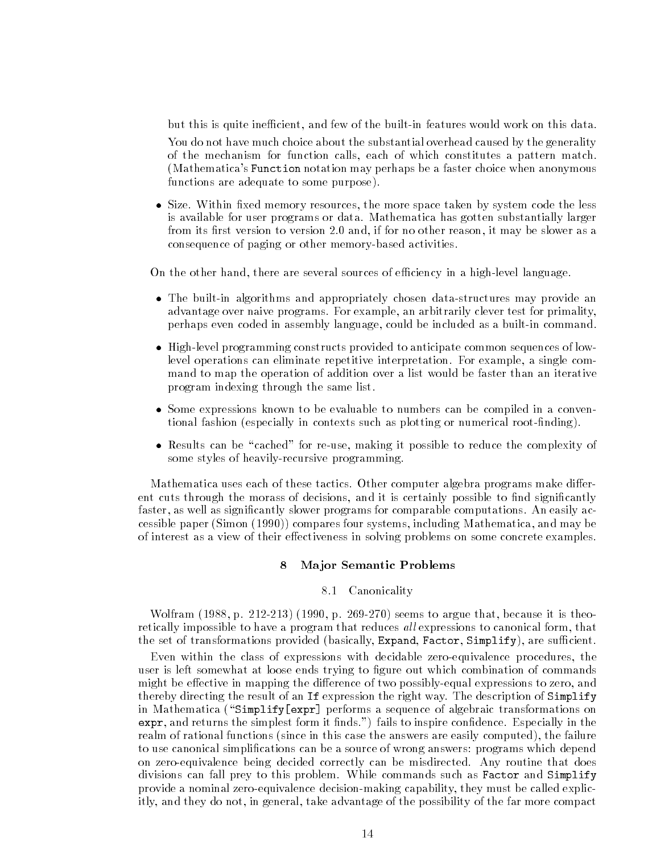but this is quite inefficient, and few of the built-in features would work on this data.

You do not have much choice about the substantial overhead caused by the generality of the mechanism for function calls, each of which constitutes a pattern match. (Mathematica's Function notation may perhaps be a faster choice when anonymous functions are adequate to some purpose).

 $\bullet$  51ze. Within fixed memory resources, the more space taken by system code the less is available for user programs or data. Mathematica has gotten substantially larger from its first version to version 2.0 and, if for no other reason, it may be slower as a consequence of paging or other memory-based activities.

On the other hand, there are several sources of efficiency in a high-level language.

- $\bullet$  lne built-in algorithms and appropriately chosen data-structures may provide an advantage over naive programs. For example, an arbitrarily clever test for primality, perhaps even coded in assembly language, could be included as a built-in command.
- $\bullet$  -High-level programming constructs provided to anticipate common sequences of lowlevel operations can eliminate repetitive interpretation. For example, a single command to map the operation of addition over a list would be faster than an iterative program indexing through the same list.
- $\bullet$  Some expressions known to be evaluable to numbers can be compiled in a conventional fashion (especially in contexts such as plotting or numerical root-nding).
- $\bullet$  -Kesults can be "cached" for re-use, making it possible to reduce the complexity of  $\bullet$ some styles of heavily-recursive programming.

Mathematica uses each of these tactics. Other computer algebra programs make different cuts through the morass of decisions, and it is certainly possible to find significantly faster, as well as significantly slower programs for comparable computations. An easily accessible paper (Simon (1990)) compares four systems, including Mathematica, and may be of interest as a view of their effectiveness in solving problems on some concrete examples.

#### 8 Ma jor Semantic Problems

#### 8.1 Canonicality

Wolfram (1988, p. 212-213) (1990, p. 269-270) seems to argue that, because it is theoretically impossible to have a program that reduces all expressions to canonical form, that the set of transformations provided (basically, Expand, Factor, Simplify), are sufficient.

Even within the class of expressions with decidable zero-equivalence procedures, the user is left somewhat at loose ends trying to figure out which combination of commands might be effective in mapping the difference of two possibly-equal expressions to zero, and thereby directing the result of an If expression the right way. The description of Simplify in Mathematica ("Simplify[expr] performs a sequence of algebraic transformations on expr, and returns the simplest form it finds.") fails to inspire confidence. Especially in the realm of rational functions (since in this case the answers are easily computed), the failure to use canonical simplications can be a source of wrong answers: programs which depend on zero-equivalence being decided correctly can be misdirected. Any routine that does divisions can fall prey to this problem. While commands such as Factor and Simplify provide a nominal zero-equivalence decision-making capability, they must be called explicitly, and they do not, in general, take advantage of the possibility of the far more compact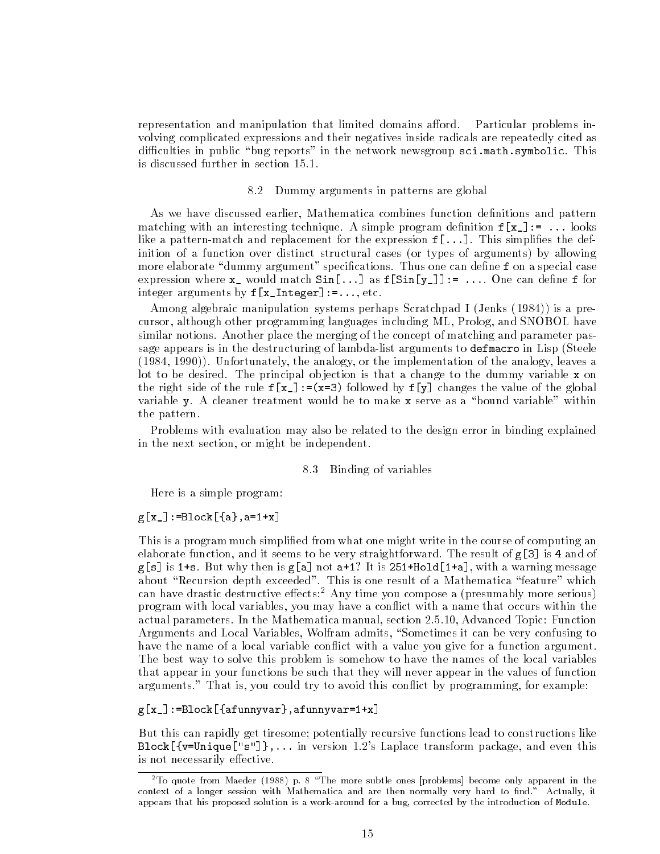representation and manipulation that limited domains afford. Particular problems involving complicated expressions and their negatives inside radicals are repeatedly cited as difficulties in public "bug reports" in the network newsgroup sci.math.symbolic. This is discussed further in section 15.1.

#### 8.2 Dummy arguments in patterns are global

As we have discussed earlier, Mathematica combines function definitions and pattern matching with an interesting technique. A simple program definition  $f[x_+] := \ldots$  looks like a pattern-match and replacement for the expression  $f[\ldots]$ . This simplifies the definition of a function over distinct structural cases (or types of arguments) by allowing more elaborate "dummy argument" specifications. Thus one can define f on a special case expression where  $x_{-}$  would match  $Sin[\ldots]$  as  $f(Sin[y_{-}]] := \ldots$  One can define f for integer arguments by  $f[x_Integer]:=...$ , etc.

Among algebraic manipulation systems perhaps Scratchpad I (Jenks (1984)) is a precursor, although other programming languages including ML, Prolog, and SNOBOL have similar notions. Another place the merging of the concept of matching and parameter passage appears is in the destructuring of lambda-list arguments to defmacro in Lisp (Steele (1984, 1990)). Unfortunately, the analogy, or the implementation of the analogy, leaves a lot to be desired. The principal ob jection is that a change to the dummy variable x on the right side of the rule  $f[x_] := (x=3)$  followed by  $f[y]$  changes the value of the global variable y. A cleaner treatment would be to make x serve as a "bound variable" within the pattern.

Problems with evaluation may also be related to the design error in binding explained in the next section, or might be independent.

### 8.3 Binding of variables

Here is a simple program:

#### $g[x_$ ].=Block[{a}, a=1+x]

This is a program much simplied from what one might write in the course of computing an elaborate function, and it seems to be very straightforward. The result of g[3] is 4 and of g[s] is 1+s. But why then is g[a] not a+1? It is 251+Hold[1+a], with a warning message about "Recursion depth exceeded". This is one result of a Mathematica "feature" which can have drastic destructive effects:<sup>2</sup> Any time you compose a (presumably more serious) program with local variables, you may have a con
ict with a name that occurs within the actual parameters. In the Mathematica manual, section 2.5.10, Advanced Topic: Function Arguments and Local Variables, Wolfram admits, "Sometimes it can be very confusing to have the name of a local variable conflict with a value you give for a function argument. The best way to solve this problem is somehow to have the names of the local variables that appear in your functions be such that they will never appear in the values of function arguments." That is, you could try to avoid this conflict by programming, for example:

#### g[x\_]:=Block[{afunnyvar},afunnyvar=1+x]

But this can rapidly get tiresome; potentially recursive functions lead to constructions like Block[{v=Unique["s"]},... in version 1.2's Laplace transform package, and even this is not necessarily effective.

 $2$ To quote from Maeder (1988) p. 8 "The more subtle ones [problems] become only apparent in the context of a longer session with Mathematica and are then normally very hard to find." Actually, it appears that his proposed solution is a work-around for a bug, corrected by the introduction of Module.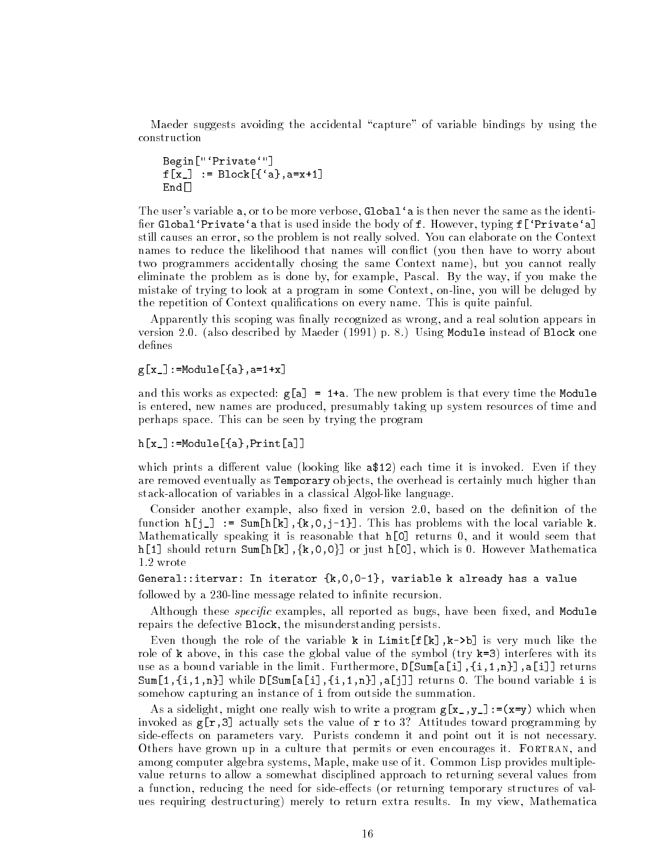Maeder suggests avoiding the accidental "capture" of variable bindings by using the construction

$$
Begin["'Private'"]f[x_.] := Block[{'a},a=x+1]End[]
$$

The user's variable a, or to be more verbose, Global`a is then never the same as the identi fier Global 'Private'a that is used inside the body of f. However, typing f['Private'a] still causes an error, so the problem is not really solved. You can elaborate on the Context names to reduce the likelihood that names will conflict (you then have to worry about two programmers accidentally chosing the same Context name), but you cannot really eliminate the problem as is done by, for example, Pascal. By the way, if you make the mistake of trying to look at a program in some Context, on-line, you will be deluged by the repetition of Context qualications on every name. This is quite painful.

Apparently this scoping was finally recognized as wrong, and a real solution appears in version 2.0. (also described by Maeder (1991) p. 8.) Using Module instead of Block one defines

#### $g[x_]$ :=Module[{a}, a=1+x]

and this works as expected:  $g[a] = 1+a$ . The new problem is that every time the Module is entered, new names are produced, presumably taking up system resources of time and perhaps space. This can be seen by trying the program

#### h[x\_]:=Module[{a},Print[a]]

which prints a different value (looking like  $a$12$ ) each time it is invoked. Even if they are removed eventually as Temporary objects, the overhead is certainly much higher than stack-allocation of variables in a classical Algol-like language.

Consider another example, also fixed in version 2.0, based on the definition of the function  $h[j_$ ] := Sum[h[k], {k, 0, j-1}]. This has problems with the local variable k. Mathematically speaking it is reasonable that h[0] returns 0, and it would seem that h[1] should return Sum[h[k], $\{k,0,0\}$ ] or just h[0], which is 0. However Mathematica 1.2 wrote

# General::itervar: In iterator {k,0,0-1}, variable k already has a value followed by a 230-line message related to infinite recursion.

Although these *specific* examples, all reported as bugs, have been fixed, and Module repairs the defective Block, the misunderstanding persists.

Even though the role of the variable **k** in Limit  $[f[k], k-\gt)$  is very much like the role of **k** above, in this case the global value of the symbol (try  $k=3$ ) interferes with its use as a bound variable in the limit. Furthermore, D[Sum[a[i],{i,1,n}],a[i]] returns Sum[1,{i,1,n}] while D[Sum[a[i],{i,1,n}],a[j]] returns 0. The bound variable i is somehow capturing an instance of i from outside the summation.

As a sidelight, might one really wish to write a program  $g[x_.,y_.] := (x=y)$  which when invoked as  $g[r,3]$  actually sets the value of r to 3? Attitudes toward programming by side-effects on parameters vary. Purists condemn it and point out it is not necessary. Others have grown up in a culture that permits or even encourages it. FORTRAN, and among computer algebra systems, Maple, make use of it. Common Lisp provides multiplevalue returns to allow a somewhat disciplined approach to returning several values from a function, reducing the need for side-effects (or returning temporary structures of values requiring destructuring) merely to return extra results. In my view, Mathematica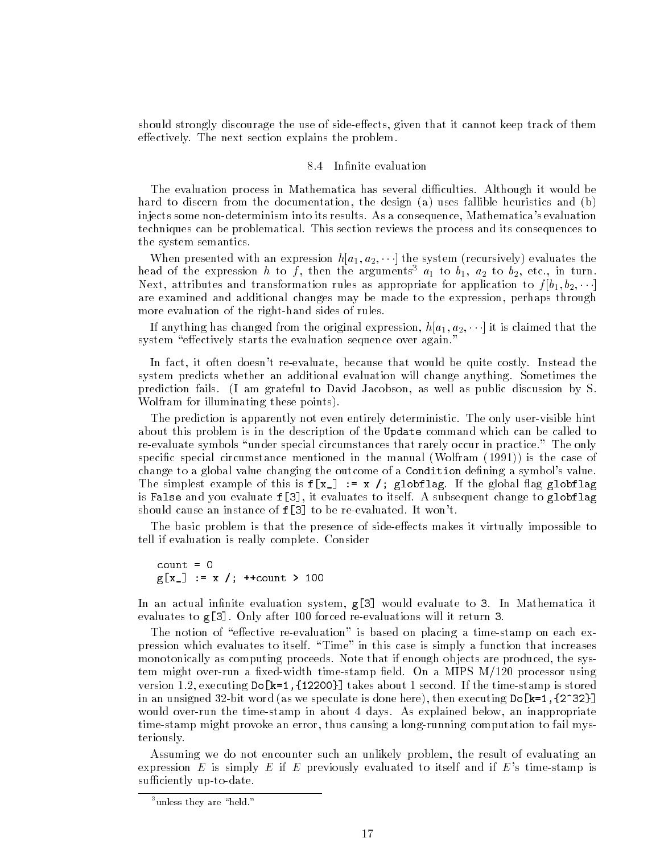should strongly discourage the use of side-effects, given that it cannot keep track of them effectively. The next section explains the problem.

### 8.4 Infinite evaluation

The evaluation process in Mathematica has several difficulties. Although it would be hard to discern from the documentation, the design (a) uses fallible heuristics and (b) injects some non-determinism into its results. As a consequence, Mathematica's evaluation techniques can be problematical. This section reviews the process and its consequences to the system semantics.

When presented with an expression  $h[a_1, a_2, \cdots]$  the system (recursively) evaluates the head of the expression h to f, then the arguments<sup>3</sup>  $a_1$  to  $b_1$ ,  $a_2$  to  $b_2$ , etc., in turn. Next, attributes and transformation rules as appropriate for application to  $f[b_1, b_2, \cdots]$ are examined and additional changes may be made to the expression, perhaps through more evaluation of the right-hand sides of rules.

If anything has changed from the original expression,  $h[a_1, a_2, \cdots]$  it is claimed that the system "effectively starts the evaluation sequence over again."

In fact, it often doesn't re-evaluate, because that would be quite costly. Instead the system predicts whether an additional evaluation will change anything. Sometimes the prediction fails. (I am grateful to David Jacobson, as well as public discussion by S. Wolfram for illuminating these points).

The prediction is apparently not even entirely deterministic. The only user-visible hint about this problem is in the description of the Update command which can be called to re-evaluate symbols "under special circumstances that rarely occur in practice." The only specic special circumstance mentioned in the manual (Wolfram (1991)) is the case of change to a global value changing the outcome of a Condition defining a symbol's value. The simplest example of this is  $f[x_+]$  := x /; globflag. If the global flag globflag is False and you evaluate f[3], it evaluates to itself. A subsequent change to globflag should cause an instance of f[3] to be re-evaluated. It won't.

The basic problem is that the presence of side-effects makes it virtually impossible to tell if evaluation is really complete. Consider

```
count = 0g[x_+] := x /; ++count > 100
```
In an actual infinite evaluation system,  $g[3]$  would evaluate to 3. In Mathematica it evaluates to g[3]. Only after 100 forced re-evaluations will it return 3.

The notion of "effective re-evaluation" is based on placing a time-stamp on each expression which evaluates to itself. "Time" in this case is simply a function that increases monotonically as computing proceeds. Note that if enough ob jects are produced, the system might over-run a fixed-width time-stamp field. On a MIPS  $M/120$  processor using version 1.2, executing  $Do[**k=1**,**{12200}**]$  takes about 1 second. If the time-stamp is stored in an unsigned 32-bit word (as we speculate is done here), then executing  $Do[k=1, {2^{\sim}32}$ ] would over-run the time-stamp in about 4 days. As explained below, an inappropriate time-stamp might provoke an error, thus causing a long-running computation to fail mysteriously.

Assuming we do not encounter such an unlikely problem, the result of evaluating an expression E is simply E if E previously evaluated to itself and if  $E$ 's time-stamp is sufficiently up-to-date.

 $3$ unless they are "held."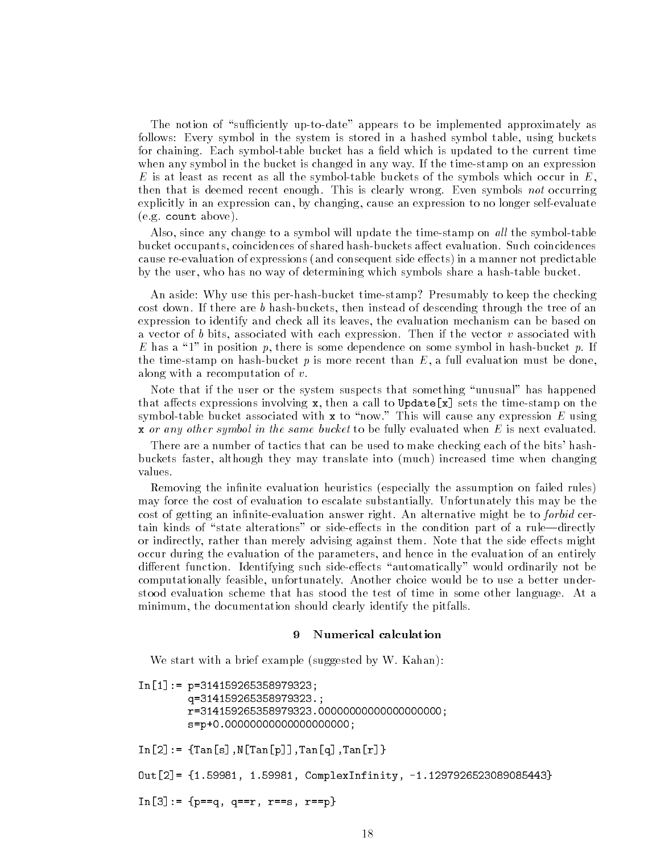The notion of "sufficiently up-to-date" appears to be implemented approximately as follows: Every symbol in the system is stored in a hashed symbol table, using buckets for chaining. Each symbol-table bucket has a field which is updated to the current time when any symbol in the bucket is changed in any way. If the time-stamp on an expression E is at least as recent as all the symbol-table buckets of the symbols which occur in E, then that is deemed recent enough. This is clearly wrong. Even symbols not occurring explicitly in an expression can, by changing, cause an expression to no longer self-evaluate (e.g. count above).

Also, since any change to a symbol will update the time-stamp on all the symbol-table bucket occupants, coincidences of shared hash-buckets affect evaluation. Such coincidences cause re-evaluation of expressions (and consequent side effects) in a manner not predictable by the user, who has no way of determining which symbols share a hash-table bucket.

An aside: Why use this per-hash-bucket time-stamp? Presumably to keep the checking cost down. If there are  $b$  hash-buckets, then instead of descending through the tree of an expression to identify and check all its leaves, the evaluation mechanism can be based on a vector of b bits, associated with each expression. Then if the vector  $v$  associated with E has a \1" in position p, there is some dependence on some symbol in hash-bucket p. If the time-stamp on hash-bucket p is more recent than  $E$ , a full evaluation must be done. along with a recomputation of v.

Note that if the user or the system suspects that something "unusual" has happened that affects expressions involving  $x$ , then a call to Update[x] sets the time-stamp on the symbol-table bucket associated with  $x$  to "now." This will cause any expression E using x or any other symbol in the same bucket to be fully evaluated when  $E$  is next evaluated.

There are a number of tactics that can be used to make checking each of the bits' hashbuckets faster, although they may translate into (much) increased time when changing values.

Removing the infinite evaluation heuristics (especially the assumption on failed rules) may force the cost of evaluation to escalate substantially. Unfortunately this may be the cost of getting an infinite-evaluation answer right. An alternative might be to *forbid* certain kinds of "state alterations" or side-effects in the condition part of a rule-directly or indirectly, rather than merely advising against them. Note that the side effects might occur during the evaluation of the parameters, and hence in the evaluation of an entirely different function. Identifying such side-effects "automatically" would ordinarily not be computationally feasible, unfortunately. Another choice would be to use a better understood evaluation scheme that has stood the test of time in some other language. At a minimum, the documentation should clearly identify the pitfalls.

#### 9 Numerical calculation

We start with a brief example (suggested by W. Kahan):

```
In[1]:= p=314159265358979323;
        q=314159265358979323.;
        r=314159265358979323.00000000000000000000;
        s=p+0.00000000000000000000;
In [2] := {Tan [s], N[Tan [p]], Tan [q], Tan [r] }Out[2]= {1.59981, 1.59981, ComplexInfinity, -1.1297926523089085443}
In [3]: = \{p == q, q == r, r == s, r == p\}
```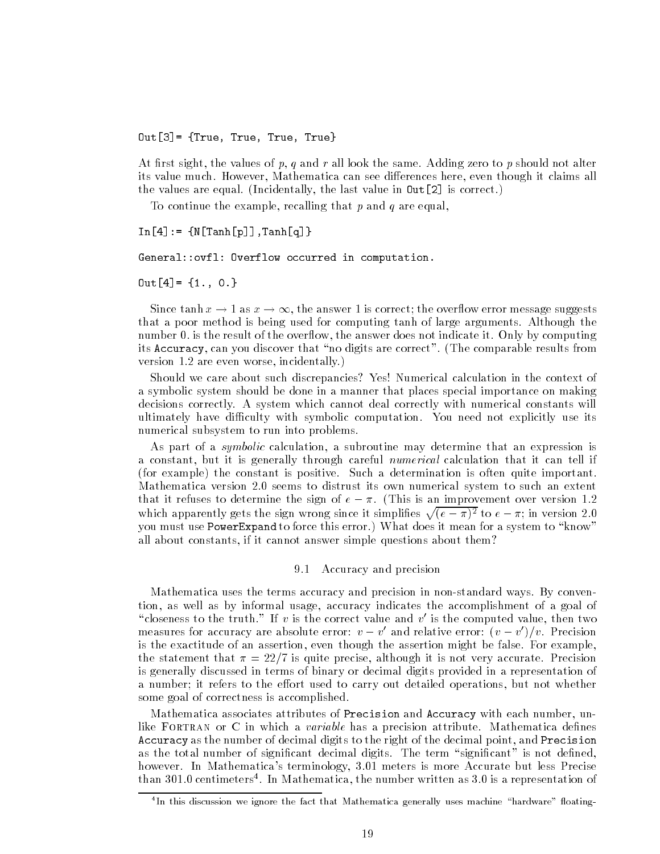Out[3]= {True, True, True, True}

At first sight, the values of p, q and r all look the same. Adding zero to p should not alter its value much. However, Mathematica can see differences here, even though it claims all the values are equal. (Incidentally, the last value in Out[2] is correct.)

To continue the example, recalling that  $p$  and  $q$  are equal,

```
In [4] := \{ N[Tanh[p] ], Tanh[q] \}
```
General::ovfl: Overflow occurred in computation.

 $Out[4] = \{1., 0.\}$ 

Since  $\tanh x \to 1$  as  $x \to \infty$ , the answer 1 is correct; the overflow error message suggests that a poor method is being used for computing tanh of large arguments. Although the number 0. is the result of the overflow, the answer does not indicate it. Only by computing its Accuracy, can you discover that "no digits are correct". (The comparable results from version 1.2 are even worse, incidentally.)

Should we care about such discrepancies? Yes! Numerical calculation in the context of a symbolic system should be done in a manner that places special importance on making decisions correctly. A system which cannot deal correctly with numerical constants will ultimately have difficulty with symbolic computation. You need not explicitly use its numerical subsystem to run into problems.

As part of a symbolic calculation, a subroutine may determine that an expression is a constant, but it is generally through careful numerical calculation that it can tell if (for example) the constant is positive. Such a determination is often quite important. Mathematica version 2.0 seems to distrust its own numerical system to such an extent that it refuses to determine the sign of  $e - \pi$ . (This is an improvement over version 1.2) which apparently gets the sign wrong since it simplifies  $\sqrt{(e-\pi)^2}$  to  $e-\pi$ ; in version 2.0 you must use PowerExpand to force this error.) What does it mean for a system to "know" all about constants, if it cannot answer simple questions about them?

### 9.1 Accuracy and precision

Mathematica uses the terms accuracy and precision in non-standard ways. By convention, as well as by informal usage, accuracy indicates the accomplishment of a goal of closeness to the truth. If v is the correct value and v is the computed value, then two measures for accuracy are absolute error:  $v - v'$  and relative error:  $(v - v')/v$ . Precision is the exactitude of an assertion, even though the assertion might be false. For example, the statement that  $\pi = 22/7$  is quite precise, although it is not very accurate. Precision is generally discussed in terms of binary or decimal digits provided in a representation of a number; it refers to the effort used to carry out detailed operations, but not whether some goal of correctness is accomplished.

Mathematica associates attributes of Precision and Accuracy with each number, unlike FORTRAN or C in which a *variable* has a precision attribute. Mathematica defines Accuracy as the number of decimal digits to the right of the decimal point, and Precision as the total number of significant decimal digits. The term "significant" is not defined, however. In Mathematica's terminology, 3.01 meters is more Accurate but less Precise than 501.0 centimeters . In Mathematica, the number written as 5.0 is a representation of

<sup>&</sup>quot;In this discussion we ignore the fact that Mathematica generally uses machine "hardware" floating-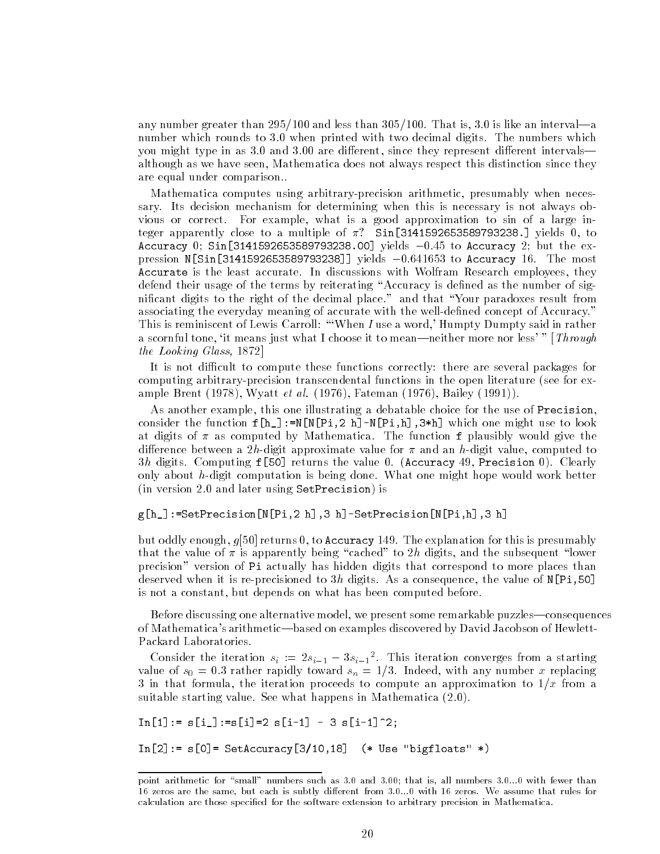any number greater than  $295/100$  and less than  $305/100$ . That is, 3.0 is like an interval—a number which rounds to 3.0 when printed with two decimal digits. The numbers which you might type in as 3.0 and 3.00 are different, since they represent different intervals although as we have seen, Mathematica does not always respect this distinction since they are equal under comparison..

Mathematica computes using arbitrary-precision arithmetic, presumably when necessary. Its decision mechanism for determining when this is necessary is not always obvious or correct. For example, what is a good approximation to sin of a large integer apparently close to a multiple of  $\pi$ ? Sin[3141592653589793238.] yields 0, to Accuracy 0; Sin[3141592653589793238.00] yields  $-0.45$  to Accuracy 2; but the expression N[Sin[3141592653589793238]] yields  $-0.641653$  to Accuracy 16. The most Accurate is the least accurate. In discussions with Wolfram Research employees, they defend their usage of the terms by reiterating "Accuracy is defined as the number of signicant digits to the right of the decimal place." and that \Your paradoxes result from associating the everyday meaning of accurate with the well-defined concept of Accuracy." This is reminiscent of Lewis Carroll: "When I use a word,' Humpty Dumpty said in rather a scornful tone, 'it means just what I choose it to mean—neither more nor less' " [Through the Looking Glass, 1872]

It is not difficult to compute these functions correctly: there are several packages for computing arbitrary-precision transcendental functions in the open literature (see for example Brent (1978), Wyatt *et al.* (1976), Fateman (1976), Bailey (1991)).

As another example, this one illustrating a debatable choice for the use of Precision, consider the function  $f[h_+] := N[N[P_1,2 h]-N[P_1,h],3*h]$  which one might use to look at digits of  $\pi$  as computed by Mathematica. The function f plausibly would give the difference between a 2h-digit approximate value for  $\pi$  and an h-digit value, computed to 3h digits. Computing f[50] returns the value 0. (Accuracy 49, Precision 0). Clearly only about h-digit computation is being done. What one might hope would work better (in version 2.0 and later using SetPrecision) is

#### g[h\_]:=SetPrecision[N[Pi,2 h],3 h]-SetPrecision[N[Pi,h],3 h]

but oddly enough,  $q[50]$  returns 0, to Accuracy 149. The explanation for this is presumably that the value of  $\pi$  is apparently being "cached" to 2h digits, and the subsequent "lower precision" version of Pi actually has hidden digits that correspond to more places than deserved when it is re-precisioned to 3h digits. As a consequence, the value of  $N[Pi,50]$ is not a constant, but depends on what has been computed before.

Before discussing one alternative model, we present some remarkable puzzles—consequences of Mathematica's arithmetic|based on examples discovered by David Jacobson of Hewlett-Packard Laboratories.

Consider the iteration  $s_i := 2s_{i-1} - 3s_{i-1}$ . This iteration converges from a starting value of  $s_0 = 0.3$  rather rapidly toward  $s_n = 1/3$ . Indeed, with any number x replacing 3 in that formula, the iteration proceeds to compute an approximation to  $1/x$  from a suitable starting value. See what happens in Mathematica (2.0).

 $In [1]: = s[i] := s[i] = 2 s[i-1] - 3 s[i-1]^2;$ 

In[2]:= s[0]= SetAccuracy[3/10,18] (\* Use "bigfloats" \*)

point arithmetic for "small" numbers such as 3.0 and 3.00; that is, all numbers 3.0...0 with fewer than 16 zeros are the same, but each is subtly different from 3.0...0 with 16 zeros. We assume that rules for calculation are those specied for the software extension to arbitrary precision in Mathematica.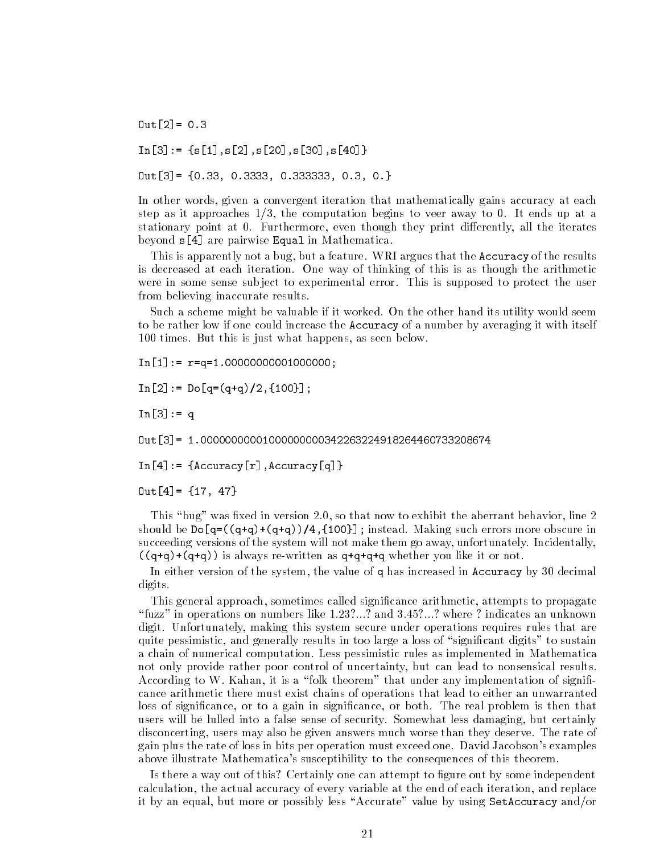$0ut[2] = 0.3$ 

 $In [3]: = {s[1], s[2], s[20], s[30], s[40]}$ 

Out[3]= {0.33, 0.3333, 0.333333, 0.3, 0.}

In other words, given a convergent iteration that mathematically gains accuracy at each step as it approaches  $1/3$ , the computation begins to veer away to 0. It ends up at a stationary point at 0. Furthermore, even though they print differently, all the iterates beyond s[4] are pairwise Equal in Mathematica.

This is apparently not a bug, but a feature. WRI argues that the Accuracy of the results is decreased at each iteration. One way of thinking of this is as though the arithmetic were in some sense sub ject to experimental error. This is supposed to protect the user from believing inaccurate results.

Such a scheme might be valuable if it worked. On the other hand its utility would seem to be rather low if one could increase the Accuracy of a number by averaging it with itself 100 times. But this is just what happens, as seen below.

 $In [1]: = r=q=1.00000000001000000;$ 

In  $[2] := Do[q=(q+q)/2,(100)]$ ;

 $In [3] := q$ 

Out[3]= 1.00000000001000000000342263224918264460733208674

 $In [4]: = \{Accuracy[r], Accuracy[q] \}$ 

Out[4]= {17, 47}

This "bug" was fixed in version  $2.0$ , so that now to exhibit the aberrant behavior, line  $2$ should be  $Do[q=(q+q)+(q+q))/4$ ,  $100$ ]; instead. Making such errors more obscure in succeeding versions of the system will not make them go away, unfortunately. Incidentally, ((q+q)+(q+q)) is always re-written as q+q+q+q whether you like it or not.

In either version of the system, the value of q has increased in Accuracy by 30 decimal digits.

This general approach, sometimes called signicance arithmetic, attempts to propagate "fuzz" in operations on numbers like  $1.23?...?$  and  $3.45?...?$  where ? indicates an unknown digit. Unfortunately, making this system secure under operations requires rules that are quite pessimistic, and generally results in too large a loss of "significant digits" to sustain a chain of numerical computation. Less pessimistic rules as implemented in Mathematica not only provide rather poor control of uncertainty, but can lead to nonsensical results. According to W. Kahan, it is a "folk theorem" that under any implementation of significance arithmetic there must exist chains of operations that lead to either an unwarranted loss of significance, or to a gain in significance, or both. The real problem is then that users will be lulled into a false sense of security. Somewhat less damaging, but certainly disconcerting, users may also be given answers much worse than they deserve. The rate of gain plus the rate of loss in bits per operation must exceed one. David Jacobson's examples above illustrate Mathematica's susceptibility to the consequences of this theorem.

Is there a way out of this? Certainly one can attempt to figure out by some independent calculation, the actual accuracy of every variable at the end of each iteration, and replace it by an equal, but more or possibly less "Accurate" value by using SetAccuracy and/or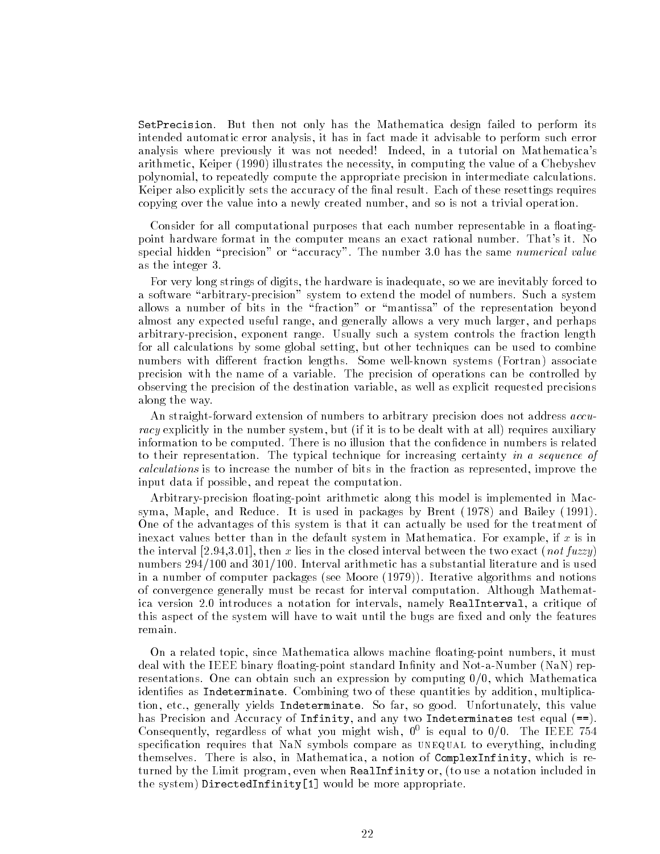SetPrecision. But then not only has the Mathematica design failed to perform its intended automatic error analysis, it has in fact made it advisable to perform such error analysis where previously it was not needed! Indeed, in a tutorial on Mathematica's arithmetic, Keiper (1990) illustrates the necessity, in computing the value of a Chebyshev polynomial, to repeatedly compute the appropriate precision in intermediate calculations. Keiper also explicitly sets the accuracy of the final result. Each of these resettings requires copying over the value into a newly created number, and so is not a trivial operation.

Consider for all computational purposes that each number representable in a floatingpoint hardware format in the computer means an exact rational number. That's it. No special hidden "precision" or "accuracy". The number 3.0 has the same *numerical value* as the integer 3.

For very long strings of digits, the hardware is inadequate, so we are inevitably forced to a software "arbitrary-precision" system to extend the model of numbers. Such a system allows a number of bits in the \fraction" or \mantissa" of the representation beyond almost any expected useful range, and generally allows a very much larger, and perhaps arbitrary-precision, exponent range. Usually such a system controls the fraction length for all calculations by some global setting, but other techniques can be used to combine numbers with different fraction lengths. Some well-known systems (Fortran) associate precision with the name of a variable. The precision of operations can be controlled by observing the precision of the destination variable, as well as explicit requested precisions along the way.

An straight-forward extension of numbers to arbitrary precision does not address accuracy explicitly in the number system, but (if it is to be dealt with at all) requires auxiliary information to be computed. There is no illusion that the confidence in numbers is related to their representation. The typical technique for increasing certainty in a sequence of calculations is to increase the number of bits in the fraction as represented, improve the input data if possible, and repeat the computation.

Arbitrary-precision floating-point arithmetic along this model is implemented in Macsyma, Maple, and Reduce. It is used in packages by Brent (1978) and Bailey (1991). One of the advantages of this system is that it can actually be used for the treatment of inexact values better than in the default system in Mathematica. For example, if x is in the interval [2.94,3.01], then x lies in the closed interval between the two exact (not fuzzy) numbers 294/100 and 301/100. Interval arithmetic has a substantial literature and is used in a number of computer packages (see Moore (1979)). Iterative algorithms and notions of convergence generally must be recast for interval computation. Although Mathematica version 2.0 introduces a notation for intervals, namely RealInterval, a critique of this aspect of the system will have to wait until the bugs are fixed and only the features remain.

On a related topic, since Mathematica allows machine floating-point numbers, it must deal with the IEEE binary floating-point standard Infinity and Not-a-Number (NaN) representations. One can obtain such an expression by computing 0/0, which Mathematica identies as Indeterminate. Combining two of these quantities by addition, multiplication, etc., generally yields Indeterminate. So far, so good. Unfortunately, this value has Precision and Accuracy of Infinity, and any two Indeterminates test equal (==). Consequently, regardless of what you might wish,  $0^\circ$  is equal to  $0/0$ . The IEEE 754  $$ specication requires that NaN symbols compare as unequal to everything, including themselves. There is also, in Mathematica, a notion of ComplexInfinity, which is returned by the Limit program, even when RealInfinity or, (to use a notation included in the system) DirectedInfinity[1] would be more appropriate.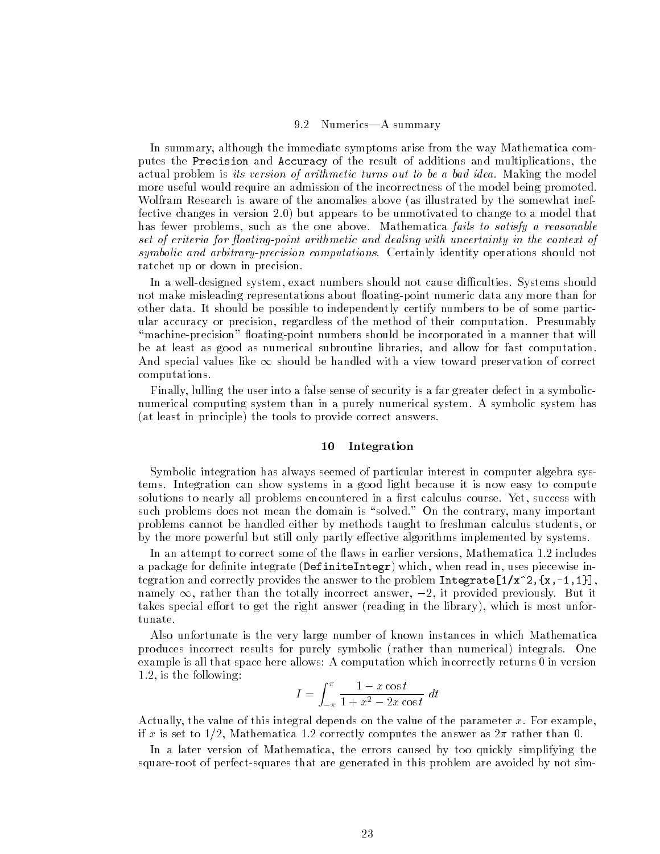### 9.2 Numerics-A summary

In summary, although the immediate symptoms arise from the way Mathematica computes the Precision and Accuracy of the result of additions and multiplications, the actual problem is its version of arithmetic turns out to be a bad idea. Making the model more useful would require an admission of the incorrectness of the model being promoted. Wolfram Research is aware of the anomalies above (as illustrated by the somewhat ineffective changes in version 2.0) but appears to be unmotivated to change to a model that has fewer problems, such as the one above. Mathematica *fails to satisfy a reasonable* set of criteria for floating-point arithmetic and dealing with uncertainty in the context of symbolic and arbitrary-precision computations. Certainly identity operations should not ratchet up or down in precision.

In a well-designed system, exact numbers should not cause difficulties. Systems should not make misleading representations about floating-point numeric data any more than for other data. It should be possible to independently certify numbers to be of some particular accuracy or precision, regardless of the method of their computation. Presumably "machine-precision" floating-point numbers should be incorporated in a manner that will be at least as good as numerical subroutine libraries, and allow for fast computation. And special values like  $\infty$  should be handled with a view toward preservation of correct computations.

Finally, lulling the user into a false sense of security is a far greater defect in a symbolicnumerical computing system than in a purely numerical system. A symbolic system has (at least in principle) the tools to provide correct answers.

#### 10 Integration

Symbolic integration has always seemed of particular interest in computer algebra systems. Integration can show systems in a good light because it is now easy to compute solutions to nearly all problems encountered in a first calculus course. Yet, success with such problems does not mean the domain is "solved." On the contrary, many important problems cannot be handled either by methods taught to freshman calculus students, or by the more powerful but still only partly effective algorithms implemented by systems.

In an attempt to correct some of the flaws in earlier versions, Mathematica 1.2 includes a package for definite integrate (DefiniteIntegr) which, when read in, uses piecewise integration and correctly provides the answer to the problem Integrate  $[1/x^2, \{x, -1, 1\}]$ . namely  $\infty$ , rather than the totally incorrect answer,  $-2$ , it provided previously. But it takes special effort to get the right answer (reading in the library), which is most unfortunate.

Also unfortunate is the very large number of known instances in which Mathematica produces incorrect results for purely symbolic (rather than numerical) integrals. One example is all that space here allows: A computation which incorrectly returns 0 in version 1.2, is the following:

$$
I = \int_{-\pi}^{\pi} \frac{1 - x \cos t}{1 + x^2 - 2x \cos t} dt
$$

Actually, the value of this integral depends on the value of the parameter  $x$ . For example, if x is set to  $1/2$ , Mathematica 1.2 correctly computes the answer as  $2\pi$  rather than 0.

In a later version of Mathematica, the errors caused by too quickly simplifying the square-root of perfect-squares that are generated in this problem are avoided by not sim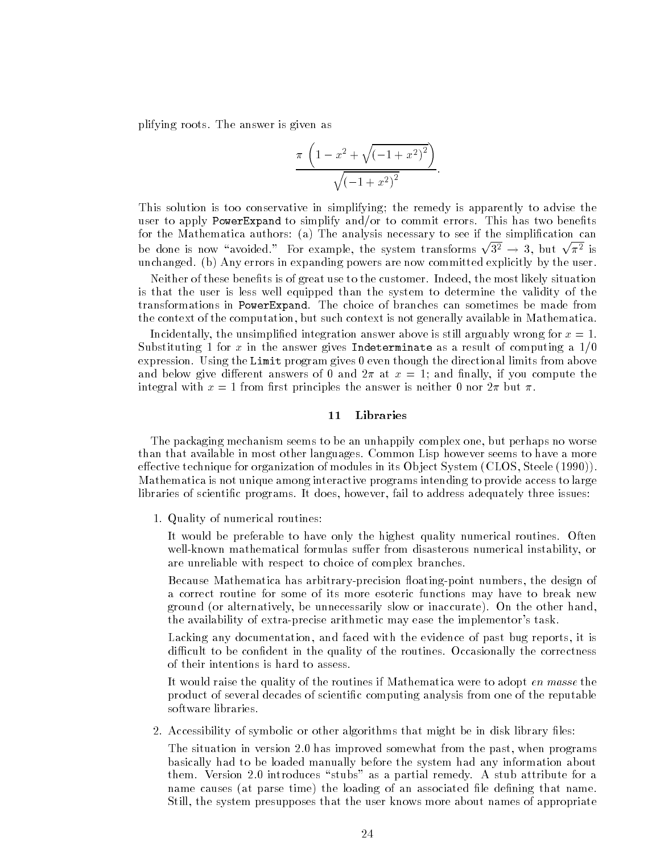plifying roots. The answer is given as

$$
\frac{\pi \left(1 - x^2 + \sqrt{(-1 + x^2)^2}\right)}{\sqrt{(-1 + x^2)^2}}.
$$

This solution is too conservative in simplifying; the remedy is apparently to advise the user to apply PowerExpand to simplify and/or to commit errors. This has two benefits for the Mathematica authors: (a) The analysis necessary to see if the simplication can be done is now "avoided." For example, the system transforms  $\sqrt{3^2} \rightarrow 3$ , but  $\sqrt{\pi^2}$  is unchanged. (b) Any errors in expanding powers are now committed explicitly by the user.

Neither of these benefits is of great use to the customer. Indeed, the most likely situation is that the user is less well equipped than the system to determine the validity of the transformations in PowerExpand. The choice of branches can sometimes be made from the context of the computation, but such context is not generally available in Mathematica.

Incidentally, the unsimplified integration answer above is still arguably wrong for  $x = 1$ . Substituting 1 for x in the answer gives Indeterminate as a result of computing a  $1/0$ expression. Using the Limit program gives 0 even though the directional limits from above and below give different answers of 0 and  $2\pi$  at  $x = 1$ ; and finally, if you compute the integral with  $x = 1$  from first principles the answer is neither 0 nor  $2\pi$  but  $\pi$ .

#### 11 Libraries

The packaging mechanism seems to be an unhappily complex one, but perhaps no worse than that available in most other languages. Common Lisp however seems to have a more effective technique for organization of modules in its Object System (CLOS, Steele  $(1990)$ ). Mathematica is not unique among interactive programs intending to provide access to large libraries of scientic programs. It does, however, fail to address adequately three issues:

1. Quality of numerical routines:

It would be preferable to have only the highest quality numerical routines. Often well-known mathematical formulas suffer from disasterous numerical instability, or are unreliable with respect to choice of complex branches.

Because Mathematica has arbitrary-precision floating-point numbers, the design of a correct routine for some of its more esoteric functions may have to break new ground (or alternatively, be unnecessarily slow or inaccurate). On the other hand, the availability of extra-precise arithmetic may ease the implementor's task.

Lacking any documentation, and faced with the evidence of past bug reports, it is difficult to be confident in the quality of the routines. Occasionally the correctness of their intentions is hard to assess.

It would raise the quality of the routines if Mathematica were to adopt en masse the product of several decades of scientic computing analysis from one of the reputable software libraries.

2. Accessibility of symbolic or other algorithms that might be in disk library files:

The situation in version 2.0 has improved somewhat from the past, when programs basically had to be loaded manually before the system had any information about them. Version 2.0 introduces "stubs" as a partial remedy. A stub attribute for a name causes (at parse time) the loading of an associated file defining that name. Still, the system presupposes that the user knows more about names of appropriate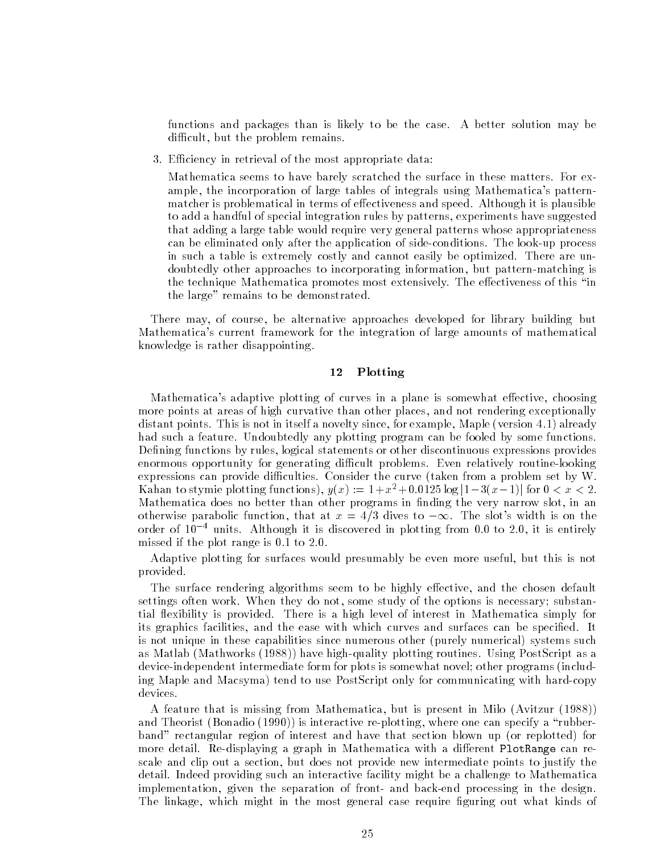functions and packages than is likely to be the case. A better solution may be difficult, but the problem remains.

3. Efficiency in retrieval of the most appropriate data:

Mathematica seems to have barely scratched the surface in these matters. For example, the incorporation of large tables of integrals using Mathematica's patternmatcher is problematical in terms of effectiveness and speed. Although it is plausible to add a handful of special integration rules by patterns, experiments have suggested that adding a large table would require very general patterns whose appropriateness can be eliminated only after the application of side-conditions. The look-up process in such a table is extremely costly and cannot easily be optimized. There are undoubtedly other approaches to incorporating information, but pattern-matching is the technique Mathematica promotes most extensively. The effectiveness of this "in the large" remains to be demonstrated.

There may, of course, be alternative approaches developed for library building but Mathematica's current framework for the integration of large amounts of mathematical knowledge is rather disappointing.

# 12 Plotting

Mathematica's adaptive plotting of curves in a plane is somewhat effective, choosing more points at areas of high curvative than other places, and not rendering exceptionally distant points. This is not in itself a novelty since, for example, Maple (version 4.1) already had such a feature. Undoubtedly any plotting program can be fooled by some functions. Defining functions by rules, logical statements or other discontinuous expressions provides enormous opportunity for generating difficult problems. Even relatively routine-looking expressions can provide difficulties. Consider the curve (taken from a problem set by  $W$ . Kahan to stymie plotting functions),  $y(x) := 1 + x^2 + 0.0125 \log |1 - 3(x-1)|$  for  $0 < x < 2$ . Mathematica does no better than other programs in finding the very narrow slot, in an otherwise parabolic function, that at  $x = 4/3$  dives to  $-\infty$ . The slot's width is on the order of  $10^{-4}$  units. Although it is discovered in plotting from 0.0 to 2.0, it is entirely missed if the plot range is 0.1 to 2.0.

Adaptive plotting for surfaces would presumably be even more useful, but this is not provided.

The surface rendering algorithms seem to be highly effective, and the chosen default settings often work. When they do not, some study of the options is necessary; substantial flexibility is provided. There is a high level of interest in Mathematica simply for its graphics facilities, and the ease with which curves and surfaces can be specified. It is not unique in these capabilities since numerous other (purely numerical) systems such as Matlab (Mathworks (1988)) have high-quality plotting routines. Using PostScript as a device-independent intermediate form for plots is somewhat novel; other programs (including Maple and Macsyma) tend to use PostScript only for communicating with hard-copy devices.

A feature that is missing from Mathematica, but is present in Milo (Avitzur (1988)) and Theorist (Bonadio (1990)) is interactive re-plotting, where one can specify a "rubberband" rectangular region of interest and have that section blown up (or replotted) for more detail. Re-displaying a graph in Mathematica with a different PlotRange can rescale and clip out a section, but does not provide new intermediate points to justify the detail. Indeed providing such an interactive facility might be a challenge to Mathematica implementation, given the separation of front- and back-end processing in the design. The linkage, which might in the most general case require figuring out what kinds of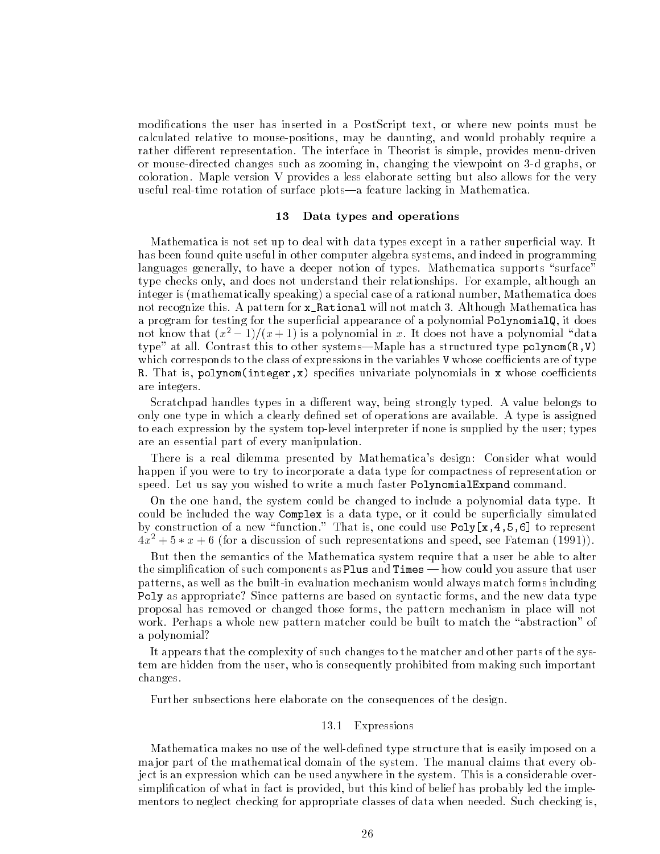modications the user has inserted in a PostScript text, or where new points must be calculated relative to mouse-positions, may be daunting, and would probably require a rather different representation. The interface in Theorist is simple, provides menu-driven or mouse-directed changes such as zooming in, changing the viewpoint on 3-d graphs, or coloration. Maple version V provides a less elaborate setting but also allows for the very useful real-time rotation of surface plots—a feature lacking in Mathematica.

#### 13 Data types and operations

Mathematica is not set up to deal with data types except in a rather superficial way. It has been found quite useful in other computer algebra systems, and indeed in programming languages generally, to have a deeper notion of types. Mathematica supports "surface" type checks only, and does not understand their relationships. For example, although an integer is (mathematically speaking) a special case of a rational number, Mathematica does not recognize this. A pattern for x\_Rational will not match 3. Although Mathematica has a program for testing for the superficial appearance of a polynomial PolynomialQ, it does not know that  $(x^2 - 1)/(x + 1)$  is a polynomial in x. It does not have a polynomial "data" type" at all. Contrast this to other systems—Maple has a structured type  $p$ **olynom** $(R, V)$ which corresponds to the class of expressions in the variables  $V$  whose coefficients are of type R. That is, polynom (integer,  $x$ ) specifies univariate polynomials in  $x$  whose coefficients are integers.

Scratchpad handles types in a different way, being strongly typed. A value belongs to only one type in which a clearly defined set of operations are available. A type is assigned to each expression by the system top-level interpreter if none is supplied by the user; types are an essential part of every manipulation.

There is a real dilemma presented by Mathematica's design: Consider what would happen if you were to try to incorporate a data type for compactness of representation or speed. Let us say you wished to write a much faster PolynomialExpand command.

On the one hand, the system could be changed to include a polynomial data type. It could be included the way Complex is a data type, or it could be superficially simulated by construction of a new "function." That is, one could use  $Poly[x,4,5,6]$  to represent  $4x^2 + 5*x + 6$  (for a discussion of such representations and speed, see Fateman (1991)).

But then the semantics of the Mathematica system require that a user be able to alter the simplification of such components as Plus and Times — how could you assure that user patterns, as well as the built-in evaluation mechanism would always match forms including Poly as appropriate? Since patterns are based on syntactic forms, and the new data type proposal has removed or changed those forms, the pattern mechanism in place will not work. Perhaps a whole new pattern matcher could be built to match the "abstraction" of a polynomial?

It appears that the complexity of such changes to the matcher and other parts of the system are hidden from the user, who is consequently prohibited from making such important changes.

Further subsections here elaborate on the consequences of the design.

#### 13.1 Expressions

Mathematica makes no use of the well-dened type structure that is easily imposed on a ma jor part of the mathematical domain of the system. The manual claims that every object is an expression which can be used anywhere in the system. This is a considerable oversimplication of what in fact is provided, but this kind of belief has probably led the implementors to neglect checking for appropriate classes of data when needed. Such checking is,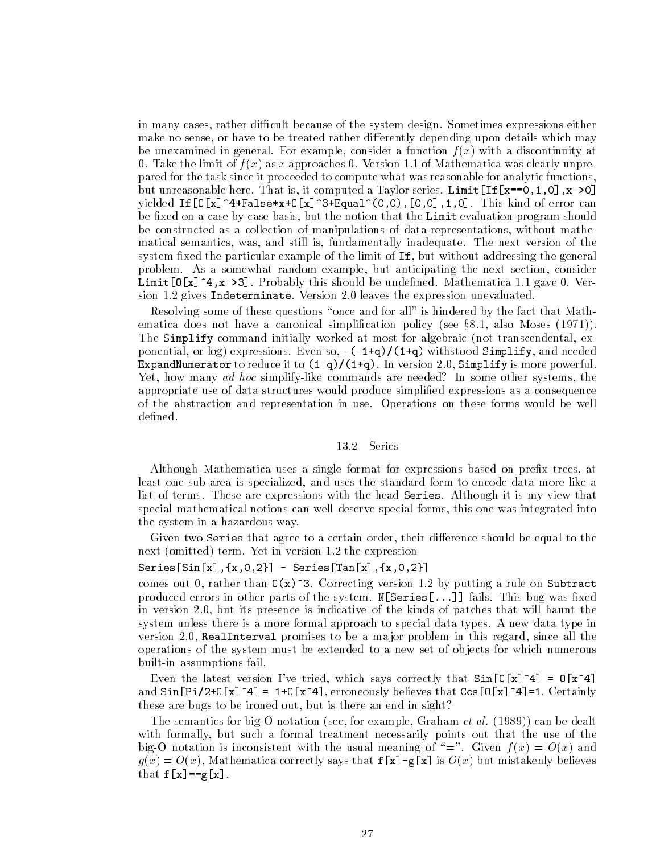in many cases, rather difficult because of the system design. Sometimes expressions either make no sense, or have to be treated rather differently depending upon details which may be unexamined in general. For example, consider a function  $f(x)$  with a discontinuity at 0. Take the limit of  $f(x)$  as x approaches 0. Version 1.1 of Mathematica was clearly unprepared for the task since it proceeded to compute what was reasonable for analytic functions, but unreasonable here. That is, it computed a Taylor series. Limit[If[x==0,1,0],x->0] yielded If[O[x]^4+False\*x+O[x]^3+Equal^(0,0),[0,0],1,0]. This kind of error can be fixed on a case by case basis, but the notion that the Limit evaluation program should be constructed as a collection of manipulations of data-representations, without mathematical semantics, was, and still is, fundamentally inadequate. The next version of the system fixed the particular example of the limit of If, but without addressing the general problem. As a somewhat random example, but anticipating the next section, consider **Limit** [0 $[x]$ <sup> $\sim$ </sup>4, x->3]. Probably this should be undefined. Mathematica 1.1 gave 0. Version 1.2 gives Indeterminate. Version 2.0 leaves the expression unevaluated.

Resolving some of these questions "once and for all" is hindered by the fact that Mathematica does not have a canonical simplification policy (see  $\S 8.1$ , also Moses  $(1971)$ ). The Simplify command initially worked at most for algebraic (not transcendental, exponential, or log) expressions. Even so,  $-(-1+q)/(1+q)$  withstood Simplify, and needed ExpandNumerator to reduce it to  $(1-q)/(1+q)$ . In version 2.0, Simplify is more powerful. Yet, how many ad hoc simplify-like commands are needed? In some other systems, the appropriate use of data structures would produce simplified expressions as a consequence of the abstraction and representation in use. Operations on these forms would be well defined.

#### 13.2 Series

Although Mathematica uses a single format for expressions based on prefix trees, at least one sub-area is specialized, and uses the standard form to encode data more like a list of terms. These are expressions with the head Series. Although it is my view that special mathematical notions can well deserve special forms, this one was integrated into the system in a hazardous way.

Given two Series that agree to a certain order, their difference should be equal to the next (omitted) term. Yet in version 1.2 the expression

### Series[Sin[x],{x,0,2}] - Series[Tan[x],{x,0,2}]

comes out 0, rather than  $O(x)$ <sup>2</sup>3. Correcting version 1.2 by putting a rule on Subtract produced errors in other parts of the system.  $N[\text{Series}[\dots]]$  fails. This bug was fixed in version 2.0, but its presence is indicative of the kinds of patches that will haunt the system unless there is a more formal approach to special data types. A new data type in version 2.0, RealInterval promises to be a ma jor problem in this regard, since all the operations of the system must be extended to a new set of ob jects for which numerous built-in assumptions fail.

Even the latest version I've tried, which says correctly that  $Sin[0[x]^4] = 0[x^4]$ and  $\sin[Pi/2+0[x]^2] = 1+0[x^2],$  erroneously believes that  $\cos[0[x]^2] = 1$ . Certainly these are bugs to be ironed out, but is there an end in sight?

The semantics for big-O notation (see, for example, Graham *et al.* (1989)) can be dealt with formally, but such a formal treatment necessarily points out that the use of the big-O notation is inconsistent with the usual meaning of "=". Given  $f (x) = O(x)$  and  $g(x) = O(x)$ , Mathematica correctly says that  $f[x]$ -g[x] is  $O(x)$  but mistakenly believes that  $f[x] == g[x]$ .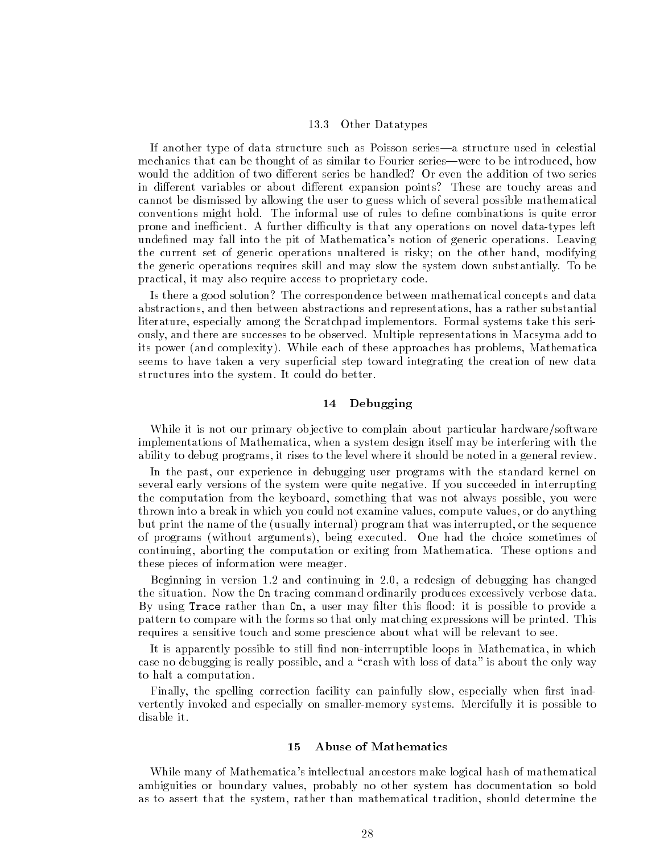#### 13.3 Other Datatypes

If another type of data structure such as Poisson series—a structure used in celestial mechanics that can be thought of as similar to Fourier series—were to be introduced, how would the addition of two different series be handled? Or even the addition of two series in different variables or about different expansion points? These are touchy areas and cannot be dismissed by allowing the user to guess which of several possible mathematical conventions might hold. The informal use of rules to define combinations is quite error prone and inefficient. A further difficulty is that any operations on novel data-types left undefined may fall into the pit of Mathematica's notion of generic operations. Leaving the current set of generic operations unaltered is risky; on the other hand, modifying the generic operations requires skill and may slow the system down substantially. To be practical, it may also require access to proprietary code.

Is there a good solution? The correspondence between mathematical concepts and data abstractions, and then between abstractions and representations, has a rather substantial literature, especially among the Scratchpad implementors. Formal systems take this seriously, and there are successes to be observed. Multiple representations in Macsyma add to its power (and complexity). While each of these approaches has problems, Mathematica seems to have taken a very superficial step toward integrating the creation of new data structures into the system. It could do better.

#### 14 Debugging

While it is not our primary ob jective to complain about particular hardware/software implementations of Mathematica, when a system design itself may be interfering with the ability to debug programs, it rises to the level where it should be noted in a general review.

In the past, our experience in debugging user programs with the standard kernel on several early versions of the system were quite negative. If you succeeded in interrupting the computation from the keyboard, something that was not always possible, you were thrown into a break in which you could not examine values, compute values, or do anything but print the name of the (usually internal) program that was interrupted, or the sequence of programs (without arguments), being executed. One had the choice sometimes of continuing, aborting the computation or exiting from Mathematica. These options and these pieces of information were meager.

Beginning in version 1.2 and continuing in 2.0, a redesign of debugging has changed the situation. Now the On tracing command ordinarily produces excessively verbose data. By using Trace rather than On, a user may filter this flood: it is possible to provide a pattern to compare with the forms so that only matching expressions will be printed. This requires a sensitive touch and some prescience about what will be relevant to see.

It is apparently possible to still find non-interruptible loops in Mathematica, in which case no debugging is really possible, and a "crash with loss of data" is about the only way to halt a computation.

Finally, the spelling correction facility can painfully slow, especially when first inadvertently invoked and especially on smaller-memory systems. Mercifully it is possible to disable it.

#### 15 Abuse of Mathematics

While many of Mathematica's intellectual ancestors make logical hash of mathematical ambiguities or boundary values, probably no other system has documentation so bold as to assert that the system, rather than mathematical tradition, should determine the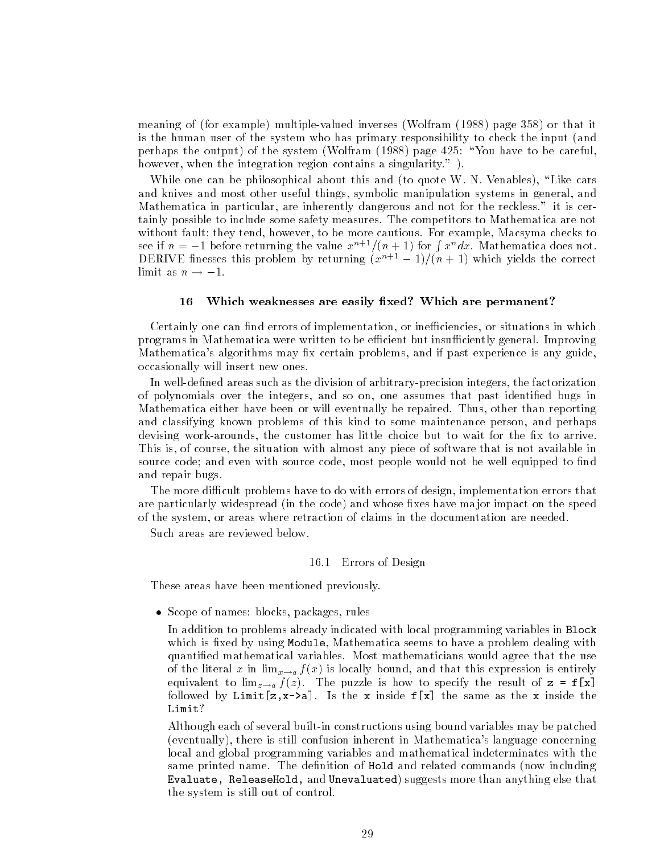meaning of (for example) multiple-valued inverses (Wolfram (1988) page 358) or that it is the human user of the system who has primary responsibility to check the input (and perhaps the output) of the system (Wolfram (1988) page 425: \You have to be careful, however, when the integration region contains a singularity.").

While one can be philosophical about this and (to quote  $W$ . N. Venables), "Like cars and knives and most other useful things, symbolic manipulation systems in general, and Mathematica in particular, are inherently dangerous and not for the reckless." it is certainly possible to include some safety measures. The competitors to Mathematica are not without fault; they tend, however, to be more cautious. For example, Macsyma checks to see if  $n = -1$  before returning the value  $x^{n+1}/(n + 1)$  for  $\int x^n dx$ . Mathematica does not. DERIVE finesses this problem by returning  $(x^{n+1} - 1)/(n + 1)$  which yields the correct limit as  $n \rightarrow -1$ .

#### 16 Which weaknesses are easily fixed? Which are permanent?

Certainly one can find errors of implementation, or inefficiencies, or situations in which programs in Mathematica were written to be efficient but insufficiently general. Improving Mathematica's algorithms may fix certain problems, and if past experience is any guide, occasionally will insert new ones.

In well-defined areas such as the division of arbitrary-precision integers, the factorization of polynomials over the integers, and so on, one assumes that past identified bugs in Mathematica either have been or will eventually be repaired. Thus, other than reporting and classifying known problems of this kind to some maintenance person, and perhaps devising work-arounds, the customer has little choice but to wait for the fix to arrive. This is, of course, the situation with almost any piece of software that is not available in source code; and even with source code, most people would not be well equipped to find and repair bugs.

The more difficult problems have to do with errors of design, implementation errors that are particularly widespread (in the code) and whose fixes have major impact on the speed of the system, or areas where retraction of claims in the documentation are needed.

Such areas are reviewed below.

#### 16.1 Errors of Design

These areas have been mentioned previously.

 $\bullet$  Scope of names: blocks, packages, rules

In addition to problems already indicated with local programming variables in Block which is fixed by using Module, Mathematica seems to have a problem dealing with quantied mathematical variables. Most mathematicians would agree that the use of the literal x in  $\lim_{x\to a} f(x)$  is locally bound, and that this expression is entirely equivalent to  $\lim_{z\to a} f(z)$ . The puzzle is how to specify the result of  $z = f[x]$ followed by Limit $[z, x-\lambda a]$ . Is the x inside  $f[x]$  the same as the x inside the Limit?

Although each of several built-in constructions using bound variables may be patched (eventually), there is still confusion inherent in Mathematica's language concerning local and global programming variables and mathematical indeterminates with the same printed name. The definition of **Hold** and related commands (now including Evaluate, ReleaseHold, and Unevaluated) suggests more than anything else that the system is still out of control.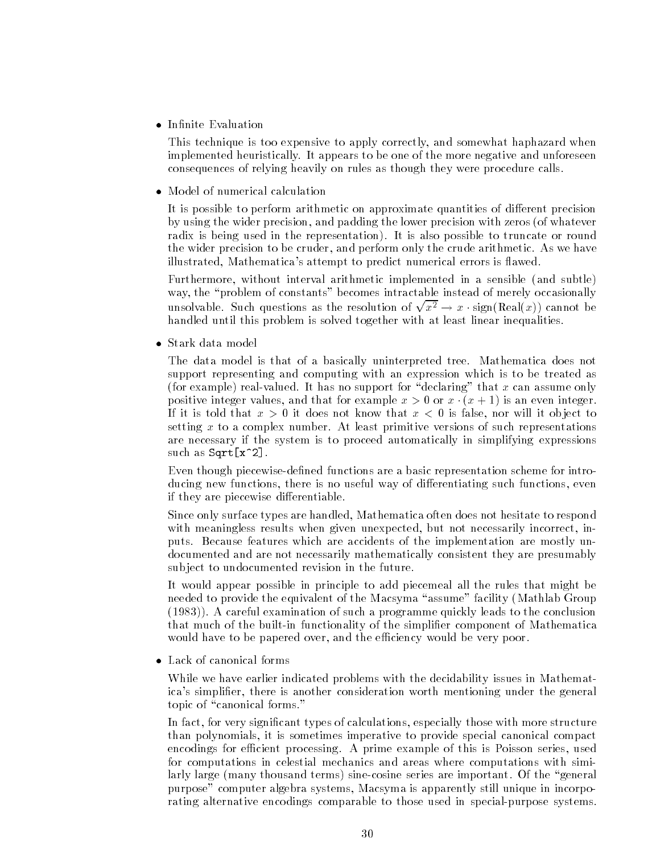$\bullet$  innnite Evaluation  $\hspace{0.1em}$ 

This technique is too expensive to apply correctly, and somewhat haphazard when implemented heuristically. It appears to be one of the more negative and unforeseen consequences of relying heavily on rules as though they were procedure calls.

 $\bullet\,$  model of numerical calculation  $\,$ 

It is possible to perform arithmetic on approximate quantities of different precision by using the wider precision, and padding the lower precision with zeros (of whatever radix is being used in the representation). It is also possible to truncate or round the wider precision to be cruder, and perform only the crude arithmetic. As we have illustrated, Mathematica's attempt to predict numerical errors is flawed.

Furthermore, without interval arithmetic implemented in a sensible (and subtle) way, the "problem of constants" becomes intractable instead of merely occasionally unsolvable. Such questions as the resolution of  $\sqrt{x^2} \rightarrow x \cdot \text{sign}(\text{Real}(x))$  cannot be handled until this problem is solved together with at least linear inequalities.

 $\bullet$  stark data model  $\hspace{0.1mm}$ 

The data model is that of a basically uninterpreted tree. Mathematica does not support representing and computing with an expression which is to be treated as (for example) real-valued. It has no support for "declaring" that  $x$  can assume only positive integer values, and that for example  $x>0$  or  $x \cdot (x+1)$  is an even integer. If it is told that  $x>0$  it does not know that  $x<0$  is false, nor will it object to setting <sup>x</sup> to a complex number. At least primitive versions of such representations are necessary if the system is to proceed automatically in simplifying expressions such as Sqrt[x^2].

Even though piecewise-defined functions are a basic representation scheme for introducing new functions, there is no useful way of differentiating such functions, even if they are piecewise differentiable.

Since only surface types are handled, Mathematica often does not hesitate to respond with meaningless results when given unexpected, but not necessarily incorrect, inputs. Because features which are accidents of the implementation are mostly undocumented and are not necessarily mathematically consistent they are presumably sub ject to undocumented revision in the future.

It would appear possible in principle to add piecemeal all the rules that might be needed to provide the equivalent of the Macsyma "assume" facility (Mathlab Group (1983)). A careful examination of such a programme quickly leads to the conclusion that much of the built-in functionality of the simplifier component of Mathematica would have to be papered over, and the efficiency would be very poor.

Lack of canonical forms

While we have earlier indicated problems with the decidability issues in Mathematica's simplier, there is another consideration worth mentioning under the general topic of "canonical forms."

In fact, for very signicant types of calculations, especially those with more structure than polynomials, it is sometimes imperative to provide special canonical compact encodings for efficient processing. A prime example of this is Poisson series, used for computations in celestial mechanics and areas where computations with similarly large (many thousand terms) sine-cosine series are important. Of the "general purpose" computer algebra systems, Macsyma is apparently still unique in incorporating alternative encodings comparable to those used in special-purpose systems.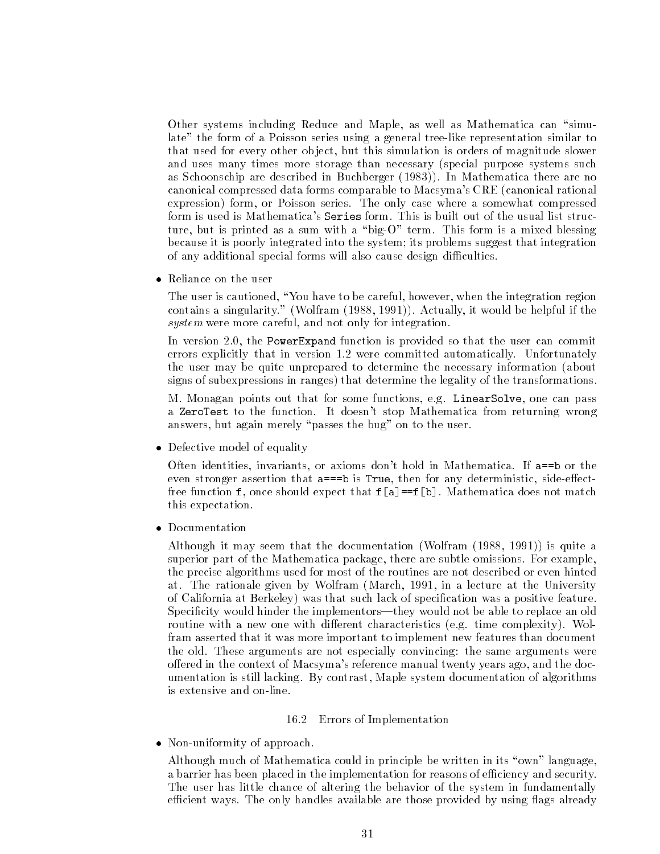Other systems including Reduce and Maple, as well as Mathematica can "simulate" the form of a Poisson series using a general tree-like representation similar to that used for every other ob ject, but this simulation is orders of magnitude slower and uses many times more storage than necessary (special purpose systems such as Schoonschip are described in Buchberger (1983)). In Mathematica there are no canonical compressed data forms comparable to Macsyma's CRE (canonical rational expression) form, or Poisson series. The only case where a somewhat compressed form is used is Mathematica's Series form. This is built out of the usual list structure, but is printed as a sum with a \big-O" term. This form is a mixed blessing because it is poorly integrated into the system; its problems suggest that integration of any additional special forms will also cause design difficulties.

 $\bullet\,$  Kellance on the user  $\,$ 

The user is cautioned, "You have to be careful, however, when the integration region contains a singularity." (Wolfram (1988, 1991)). Actually, it would be helpful if the system were more careful, and not only for integration.

In version 2.0, the PowerExpand function is provided so that the user can commit errors explicitly that in version 1.2 were committed automatically. Unfortunately the user may be quite unprepared to determine the necessary information (about signs of subexpressions in ranges) that determine the legality of the transformations.

M. Monagan points out that for some functions, e.g. LinearSolve, one can pass a ZeroTest to the function. It doesn't stop Mathematica from returning wrong answers, but again merely "passes the bug" on to the user.

 $\bullet\,$  Defective model of equality  $\,$ 

Often identities, invariants, or axioms don't hold in Mathematica. If a==b or the even stronger assertion that  $a == b$  is True, then for any deterministic, side-effectfree function f, once should expect that  $f[a]=f[b]$ . Mathematica does not match this expectation.

 $\bullet$  Documentation

Although it may seem that the documentation (Wolfram (1988, 1991)) is quite a superior part of the Mathematica package, there are subtle omissions. For example, the precise algorithms used for most of the routines are not described or even hinted at. The rationale given by Wolfram (March, 1991, in a lecture at the University of California at Berkeley) was that such lack of specication was a positive feature. Specificity would hinder the implementors—they would not be able to replace an old routine with a new one with different characteristics (e.g. time complexity). Wolfram asserted that it was more important to implement new features than document the old. These arguments are not especially convincing: the same arguments were offered in the context of Macsyma's reference manual twenty years ago, and the documentation is still lacking. By contrast, Maple system documentation of algorithms is extensive and on-line.

#### 16.2 Errors of Implementation

Non-uniformity of approach.

Although much of Mathematica could in principle be written in its "own" language. a barrier has been placed in the implementation for reasons of efficiency and security. The user has little chance of altering the behavior of the system in fundamentally efficient ways. The only handles available are those provided by using flags already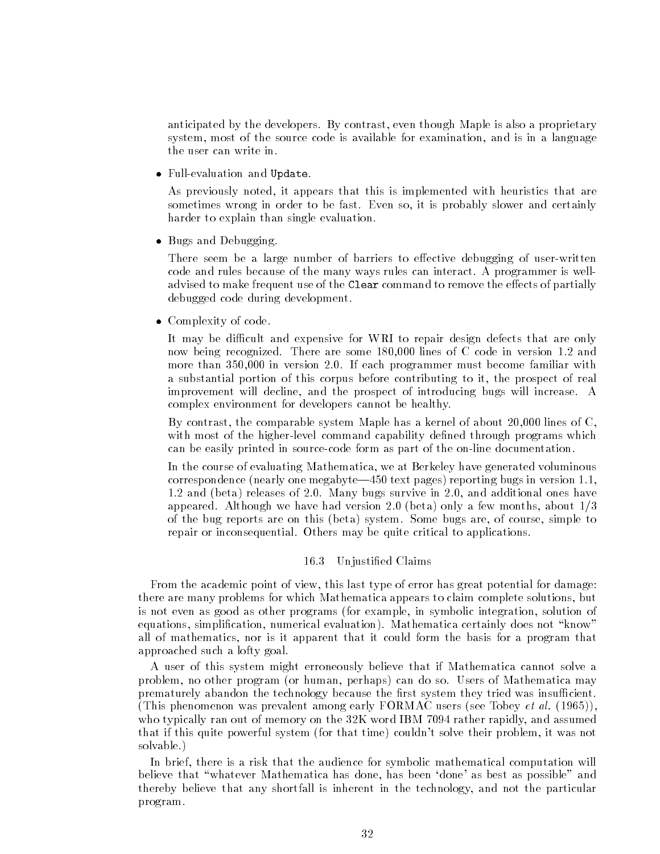anticipated by the developers. By contrast, even though Maple is also a proprietary system, most of the source code is available for examination, and is in a language the user can write in.

 $\bullet$  Full-evaluation and Update.  $\hspace{0.1mm}$ 

As previously noted, it appears that this is implemented with heuristics that are sometimes wrong in order to be fast. Even so, it is probably slower and certainly harder to explain than single evaluation.

 $\bullet$  bugs and Debugging.  $\bullet$ 

There seem be a large number of barriers to effective debugging of user-written code and rules because of the many ways rules can interact. A programmer is welladvised to make frequent use of the Clear command to remove the effects of partially debugged code during development.

 $\bullet$  Complexity of code.  $\hspace{0.1mm}\bullet$ 

It may be difficult and expensive for WRI to repair design defects that are only now being recognized. There are some 180,000 lines of C code in version 1.2 and more than 350,000 in version 2.0. If each programmer must become familiar with a substantial portion of this corpus before contributing to it, the prospect of real improvement will decline, and the prospect of introducing bugs will increase. A complex environment for developers cannot be healthy.

By contrast, the comparable system Maple has a kernel of about 20,000 lines of C, with most of the higher-level command capability defined through programs which can be easily printed in source-code form as part of the on-line documentation.

In the course of evaluating Mathematica, we at Berkeley have generated voluminous correspondence (nearly one megabyte|450 text pages) reporting bugs in version 1.1, 1.2 and (beta) releases of 2.0. Many bugs survive in 2.0, and additional ones have appeared. Although we have had version 2.0 (beta) only a few months, about  $1/3$ of the bug reports are on this (beta) system. Some bugs are, of course, simple to repair or inconsequential. Others may be quite critical to applications.

#### 16.3 Unjustied Claims

From the academic point of view, this last type of error has great potential for damage: there are many problems for which Mathematica appears to claim complete solutions, but is not even as good as other programs (for example, in symbolic integration, solution of equations, simplification, numerical evaluation). Mathematica certainly does not "know" all of mathematics, nor is it apparent that it could form the basis for a program that approached such a lofty goal.

A user of this system might erroneously believe that if Mathematica cannot solve a problem, no other program (or human, perhaps) can do so. Users of Mathematica may prematurely abandon the technology because the first system they tried was insufficient. (This phenomenon was prevalent among early FORMAC users (see Tobey *et al.* (1965)), who typically ran out of memory on the 32K word IBM 7094 rather rapidly, and assumed that if this quite powerful system (for that time) couldn't solve their problem, it was not solvable.)

In brief, there is a risk that the audience for symbolic mathematical computation will believe that \whatever Mathematica has done, has been `done' as best as possible" and thereby believe that any shortfall is inherent in the technology, and not the particular program.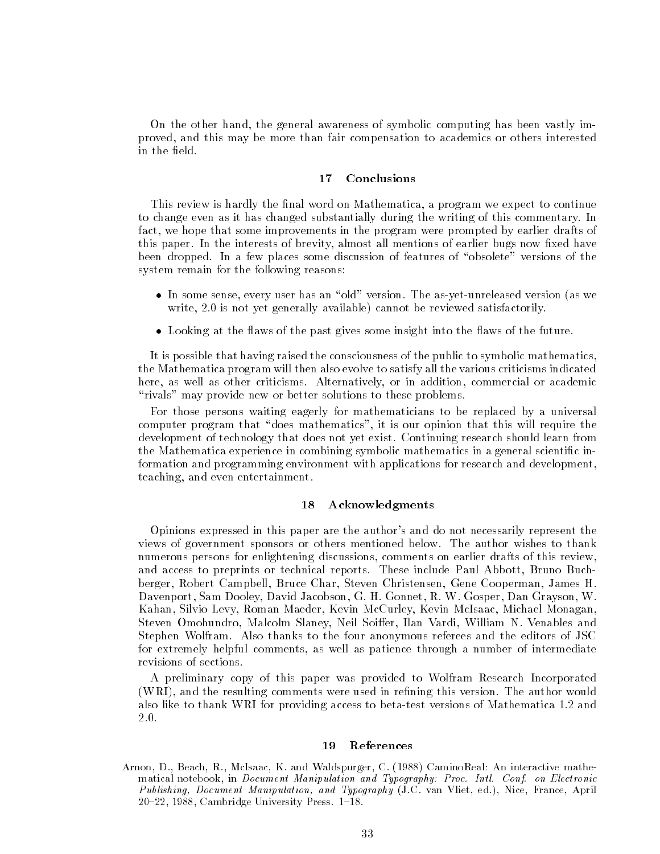On the other hand, the general awareness of symbolic computing has been vastly improved, and this may be more than fair compensation to academics or others interested in the field.

#### 17 Conclusions

This review is hardly the final word on Mathematica, a program we expect to continue to change even as it has changed substantially during the writing of this commentary. In fact, we hope that some improvements in the program were prompted by earlier drafts of this paper. In the interests of brevity, almost all mentions of earlier bugs now fixed have been dropped. In a few places some discussion of features of "obsolete" versions of the system remain for the following reasons:

- $\bullet$  In some sense, every user has an "old" version. The as-yet-unreleased version (as we  $\hspace{0.1mm}$ write, 2.0 is not yet generally available) cannot be reviewed satisfactorily.
- $\bullet$  Looking at the naws of the past gives some insight into the naws of the future.

It is possible that having raised the consciousness of the public to symbolic mathematics, the Mathematica program will then also evolve to satisfy all the various criticisms indicated here, as well as other criticisms. Alternatively, or in addition, commercial or academic "rivals" may provide new or better solutions to these problems.

For those persons waiting eagerly for mathematicians to be replaced by a universal computer program that "does mathematics", it is our opinion that this will require the development of technology that does not yet exist. Continuing research should learn from the Mathematica experience in combining symbolic mathematics in a general scientific information and programming environment with applications for research and development, teaching, and even entertainment.

#### 18 Acknowledgments

Opinions expressed in this paper are the author's and do not necessarily represent the views of government sponsors or others mentioned below. The author wishes to thank numerous persons for enlightening discussions, comments on earlier drafts of this review, and access to preprints or technical reports. These include Paul Abbott, Bruno Buchberger, Robert Campbell, Bruce Char, Steven Christensen, Gene Cooperman, James H. Davenport, Sam Dooley, David Jacobson, G. H. Gonnet, R. W. Gosper, Dan Grayson, W. Kahan, Silvio Levy, Roman Maeder, Kevin McCurley, Kevin McIsaac, Michael Monagan, Steven Omohundro, Malcolm Slaney, Neil Soiffer, Ilan Vardi, William N. Venables and Stephen Wolfram. Also thanks to the four anonymous referees and the editors of JSC for extremely helpful comments, as well as patience through a number of intermediate revisions of sections.

A preliminary copy of this paper was provided to Wolfram Research Incorporated (WRI), and the resulting comments were used in refining this version. The author would also like to thank WRI for providing access to beta-test versions of Mathematica 1.2 and 2.0.

#### 19 References

Arnon, D., Beach, R., McIsaac, K. and Waldspurger, C. (1988) CaminoReal: An interactive mathematical notebook, in Document Manipulation and Typography: Proc. Intl. Conf. on Electronic Publishing, Document Manipulation, and Typography (J.C. van Vliet, ed.), Nice, France, April  $20–22$ , 1988, Cambridge University Press. 1–18.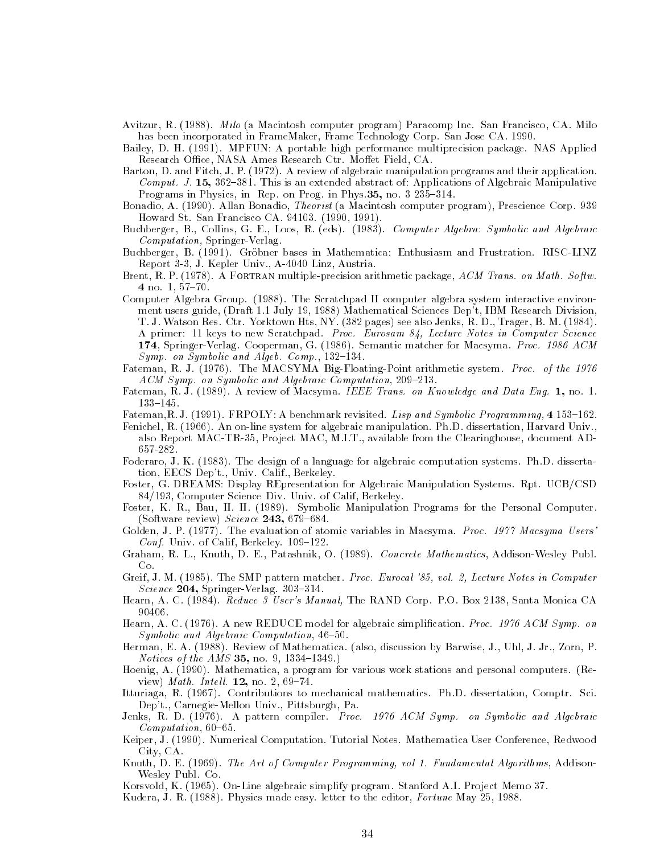- Avitzur, R. (1988). Milo (a Macintosh computer program) Paracomp Inc. San Francisco, CA. Milo has been incorporated in FrameMaker, Frame Technology Corp. San Jose CA. 1990.
- Bailey, D. H. (1991). MPFUN: A portable high performance multiprecision package. NAS Applied Research Office, NASA Ames Research Ctr. Moffet Field, CA.
- Barton, D. and Fitch, J. P. (1972). A review of algebraic manipulation programs and their application. Comput. J. 15, 362-381. This is an extended abstract of: Applications of Algebraic Manipulative Programs in Physics, in Rep. on Prog. in Phys.35, no. 3 235-314.
- Bonadio, A. (1990). Allan Bonadio, *Theorist* (a Macintosh computer program), Prescience Corp. 939 Howard St. San Francisco CA. 94103. (1990, 1991).
- Buchberger, B., Collins, G. E., Loos, R. (eds). (1983). Computer Algebra: Symbolic and Algebraic Computation, Springer-Verlag.
- Buchberger, B. (1991). Gröbner bases in Mathematica: Enthusiasm and Frustration. RISC-LINZ Report 3-3, J. Kepler Univ., A-4040 Linz, Austria.
- Brent, R. P. (1978). A FORTRAN multiple-precision arithmetic package, ACM Trans. on Math. Softw. 4 no. 1,  $57-70$ .
- Computer Algebra Group. (1988). The Scratchpad II computer algebra system interactive environ ment users guide, (Draft 1.1 July 19, 1988) Mathematical Sciences Dep't, IBM Research Division, T. J. Watson Res. Ctr. Yorktown Hts, NY. (382 pages) see also Jenks, R. D., Trager, B. M. (1984). A primer: 11 keys to new Scratchpad. Proc. Eurosam 84, Lecture Notes in Computer Science 174, Springer-Verlag. Cooperman, G. (1986). Semantic matcher for Macsyma. Proc. 1986 ACM Symp. on Symbolic and Algeb. Comp.,  $132-134$ .
- Fateman, R. J. (1976). The MACSYMA Big-Floating-Point arithmetic system. Proc. of the 1976  $ACM$  Symp. on Symbolic and Algebraic Computation, 209–213.
- Fateman, R. J. (1989). A review of Macsyma. IEEE Trans. on Knowledge and Data Eng. 1, no. 1. 133{145.
- Fateman,R. J. (1991). FRPOLY: A benchmark revisited. Lisp and Symbolic Programming, 4 153-162.
- Fenichel, R. (1966). An on-line system for algebraic manipulation. Ph.D. dissertation, Harvard Univ., also Report MAC-TR-35, Project MAC, M.I.T., available from the Clearinghouse, document AD-657-282.
- Foderaro, J. K. (1983). The design of a language for algebraic computation systems. Ph.D. dissertation, EECS Dep't., Univ. Calif., Berkeley.
- Foster, G. DREAMS: Display REpresentation for Algebraic Manipulation Systems. Rpt. UCB/CSD 84/193, Computer Science Div. Univ. of Calif, Berkeley.
- Foster, K. R., Bau, H. H. (1989). Symbolic Manipulation Programs for the Personal Computer. (Software review) Science  $243, 679{-}684.$
- Golden, J. P. (1977). The evaluation of atomic variables in Macsyma. Proc. 1977 Macsyma Users' *Conf.* Univ. of Calif, Berkeley.  $109-122$ .
- Graham, R. L., Knuth, D. E., Patashnik, O. (1989). Concrete Mathematics, Addison-Wesley Publ. Co.
- Greif, J. M. (1985). The SMP pattern matcher. Proc. Eurocal '85, vol. 2, Lecture Notes in Computer Science  $204$ , Springer-Verlag. 303-314.
- Hearn, A. C. (1984). Reduce 3 User's Manual, The RAND Corp. P.O. Box 2138, Santa Monica CA 90406.
- Hearn, A. C. (1976). A new REDUCE model for algebraic simplification. Proc. 1976 ACM Symp. on  $Symbolic$  and  $Algebraic$  Computation, 46-50.
- Herman, E. A. (1988). Review of Mathematica. (also, discussion by Barwise, J., Uhl, J. Jr., Zorn, P. *Notices of the AMS* 35, no. 9,  $1334-1349$ .)
- Hoenig, A. (1990). Mathematica, a program for various work stations and personal computers. (Review) *Math. Intell.* **12**, no. 2, 69-74.
- Itturiaga, R. (1967). Contributions to mechanical mathematics. Ph.D. dissertation, Comptr. Sci. Dep't., Carnegie-Mellon Univ., Pittsburgh, Pa.
- Jenks, R. D. (1976). A pattern compiler. Proc. 1976 ACM Symp. on Symbolic and Algebraic  $Computation, 60-65.$
- Keiper, J. (1990). Numerical Computation. Tutorial Notes. Mathematica User Conference, Redwood City, CA.
- Knuth, D. E. (1969). *The Art of Computer Programming, vol 1. Fundamental Algorithms, Addison*-Wesley Publ. Co.

Korsvold, K. (1965). On-Line algebraic simplify program. Stanford A.I. Project Memo 37.

Kudera, J. R. (1988). Physics made easy. letter to the editor, *Fortune* May 25, 1988.